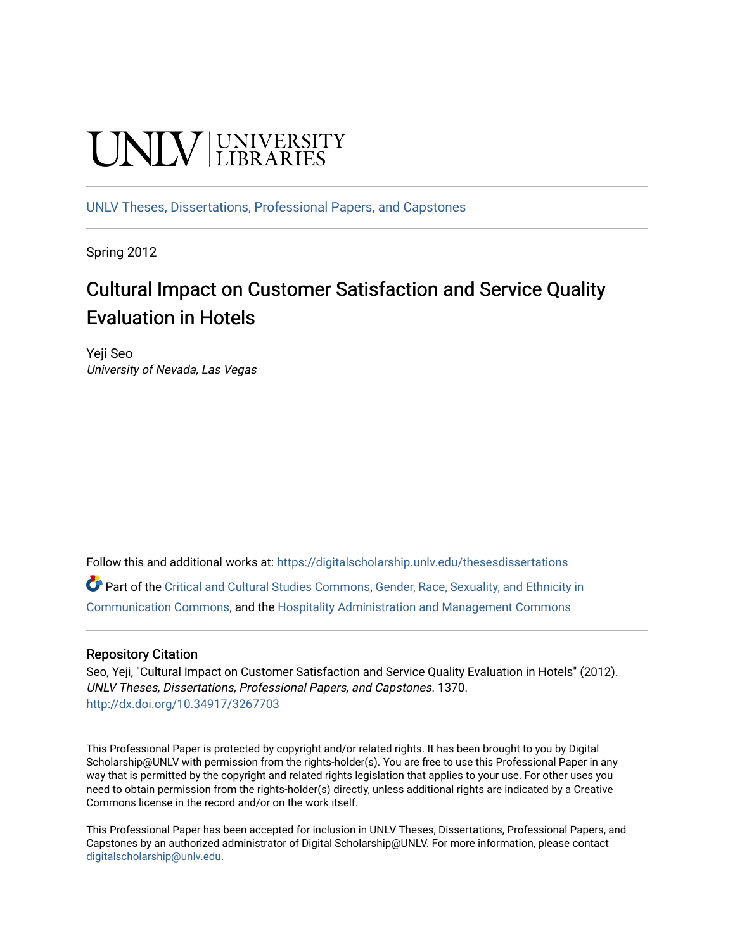# **UNIVERSITY**

[UNLV Theses, Dissertations, Professional Papers, and Capstones](https://digitalscholarship.unlv.edu/thesesdissertations)

Spring 2012

# Cultural Impact on Customer Satisfaction and Service Quality Evaluation in Hotels

Yeji Seo University of Nevada, Las Vegas

Follow this and additional works at: [https://digitalscholarship.unlv.edu/thesesdissertations](https://digitalscholarship.unlv.edu/thesesdissertations?utm_source=digitalscholarship.unlv.edu%2Fthesesdissertations%2F1370&utm_medium=PDF&utm_campaign=PDFCoverPages)

Part of the [Critical and Cultural Studies Commons](http://network.bepress.com/hgg/discipline/328?utm_source=digitalscholarship.unlv.edu%2Fthesesdissertations%2F1370&utm_medium=PDF&utm_campaign=PDFCoverPages), [Gender, Race, Sexuality, and Ethnicity in](http://network.bepress.com/hgg/discipline/329?utm_source=digitalscholarship.unlv.edu%2Fthesesdissertations%2F1370&utm_medium=PDF&utm_campaign=PDFCoverPages)  [Communication Commons](http://network.bepress.com/hgg/discipline/329?utm_source=digitalscholarship.unlv.edu%2Fthesesdissertations%2F1370&utm_medium=PDF&utm_campaign=PDFCoverPages), and the [Hospitality Administration and Management Commons](http://network.bepress.com/hgg/discipline/632?utm_source=digitalscholarship.unlv.edu%2Fthesesdissertations%2F1370&utm_medium=PDF&utm_campaign=PDFCoverPages) 

# Repository Citation

Seo, Yeji, "Cultural Impact on Customer Satisfaction and Service Quality Evaluation in Hotels" (2012). UNLV Theses, Dissertations, Professional Papers, and Capstones. 1370. <http://dx.doi.org/10.34917/3267703>

This Professional Paper is protected by copyright and/or related rights. It has been brought to you by Digital Scholarship@UNLV with permission from the rights-holder(s). You are free to use this Professional Paper in any way that is permitted by the copyright and related rights legislation that applies to your use. For other uses you need to obtain permission from the rights-holder(s) directly, unless additional rights are indicated by a Creative Commons license in the record and/or on the work itself.

This Professional Paper has been accepted for inclusion in UNLV Theses, Dissertations, Professional Papers, and Capstones by an authorized administrator of Digital Scholarship@UNLV. For more information, please contact [digitalscholarship@unlv.edu](mailto:digitalscholarship@unlv.edu).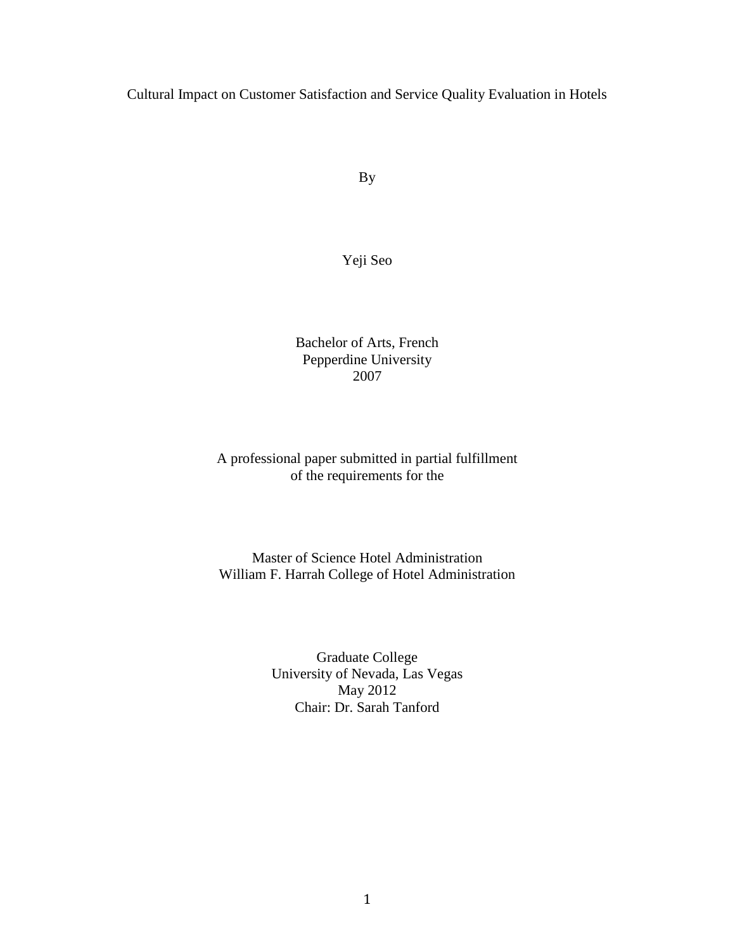Cultural Impact on Customer Satisfaction and Service Quality Evaluation in Hotels

By

Yeji Seo

Bachelor of Arts, French Pepperdine University 2007

# A professional paper submitted in partial fulfillment of the requirements for the

# Master of Science Hotel Administration William F. Harrah College of Hotel Administration

Graduate College University of Nevada, Las Vegas May 2012 Chair: Dr. Sarah Tanford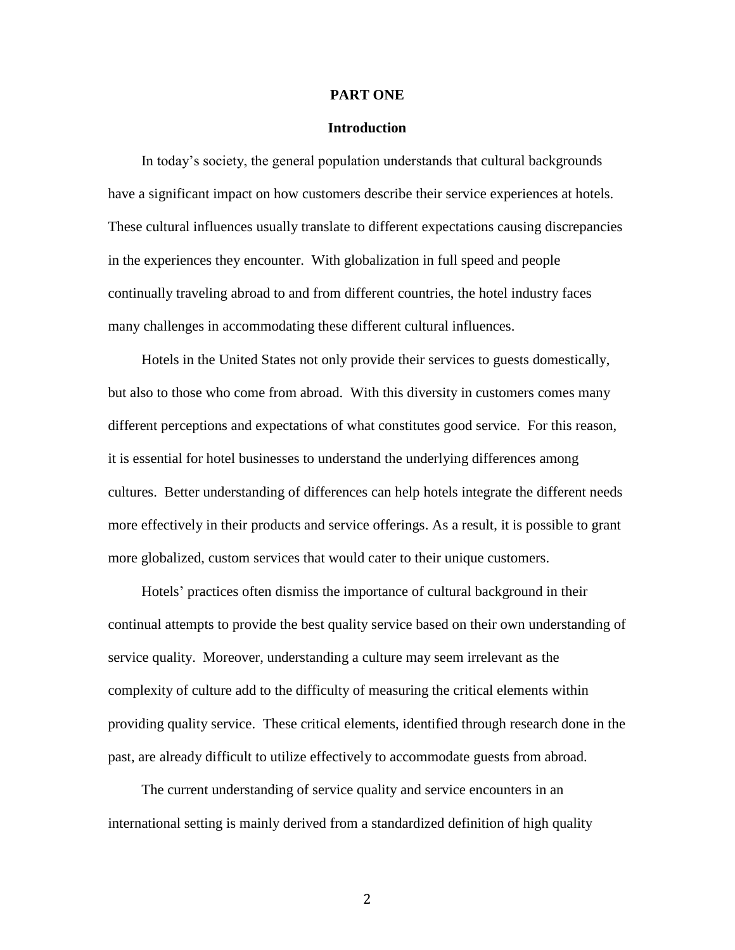#### **PART ONE**

# **Introduction**

In today's society, the general population understands that cultural backgrounds have a significant impact on how customers describe their service experiences at hotels. These cultural influences usually translate to different expectations causing discrepancies in the experiences they encounter. With globalization in full speed and people continually traveling abroad to and from different countries, the hotel industry faces many challenges in accommodating these different cultural influences.

Hotels in the United States not only provide their services to guests domestically, but also to those who come from abroad. With this diversity in customers comes many different perceptions and expectations of what constitutes good service. For this reason, it is essential for hotel businesses to understand the underlying differences among cultures. Better understanding of differences can help hotels integrate the different needs more effectively in their products and service offerings. As a result, it is possible to grant more globalized, custom services that would cater to their unique customers.

Hotels' practices often dismiss the importance of cultural background in their continual attempts to provide the best quality service based on their own understanding of service quality. Moreover, understanding a culture may seem irrelevant as the complexity of culture add to the difficulty of measuring the critical elements within providing quality service. These critical elements, identified through research done in the past, are already difficult to utilize effectively to accommodate guests from abroad.

The current understanding of service quality and service encounters in an international setting is mainly derived from a standardized definition of high quality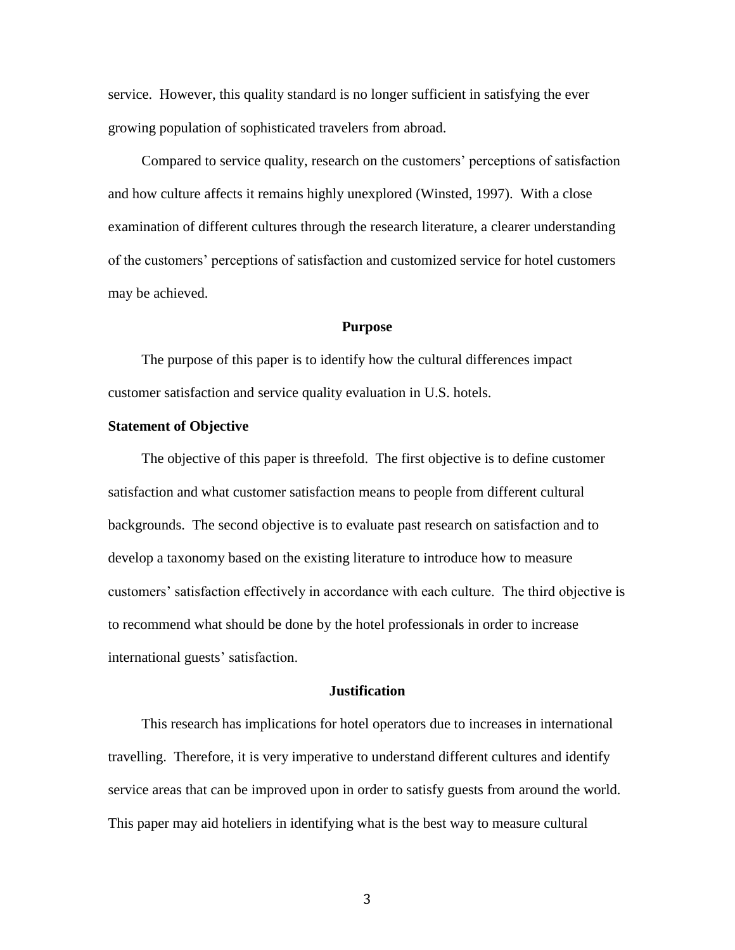service. However, this quality standard is no longer sufficient in satisfying the ever growing population of sophisticated travelers from abroad.

Compared to service quality, research on the customers' perceptions of satisfaction and how culture affects it remains highly unexplored (Winsted, 1997). With a close examination of different cultures through the research literature, a clearer understanding of the customers' perceptions of satisfaction and customized service for hotel customers may be achieved.

#### **Purpose**

The purpose of this paper is to identify how the cultural differences impact customer satisfaction and service quality evaluation in U.S. hotels.

# **Statement of Objective**

The objective of this paper is threefold. The first objective is to define customer satisfaction and what customer satisfaction means to people from different cultural backgrounds. The second objective is to evaluate past research on satisfaction and to develop a taxonomy based on the existing literature to introduce how to measure customers' satisfaction effectively in accordance with each culture. The third objective is to recommend what should be done by the hotel professionals in order to increase international guests' satisfaction.

### **Justification**

This research has implications for hotel operators due to increases in international travelling. Therefore, it is very imperative to understand different cultures and identify service areas that can be improved upon in order to satisfy guests from around the world. This paper may aid hoteliers in identifying what is the best way to measure cultural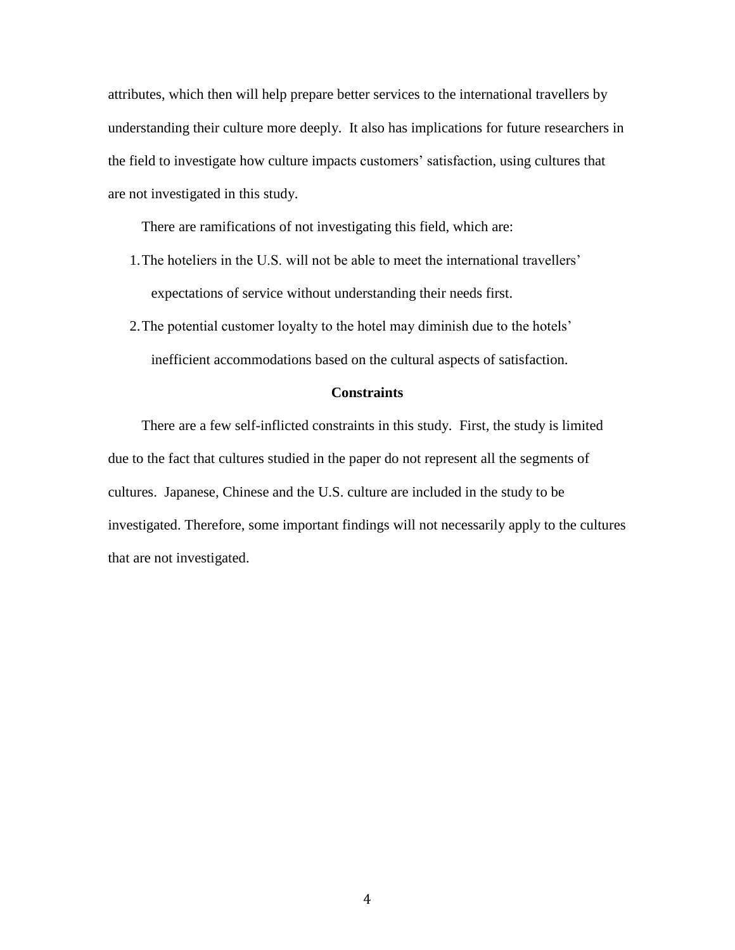attributes, which then will help prepare better services to the international travellers by understanding their culture more deeply. It also has implications for future researchers in the field to investigate how culture impacts customers' satisfaction, using cultures that are not investigated in this study.

There are ramifications of not investigating this field, which are:

- 1.The hoteliers in the U.S. will not be able to meet the international travellers' expectations of service without understanding their needs first.
- 2.The potential customer loyalty to the hotel may diminish due to the hotels' inefficient accommodations based on the cultural aspects of satisfaction.

# **Constraints**

There are a few self-inflicted constraints in this study. First, the study is limited due to the fact that cultures studied in the paper do not represent all the segments of cultures. Japanese, Chinese and the U.S. culture are included in the study to be investigated. Therefore, some important findings will not necessarily apply to the cultures that are not investigated.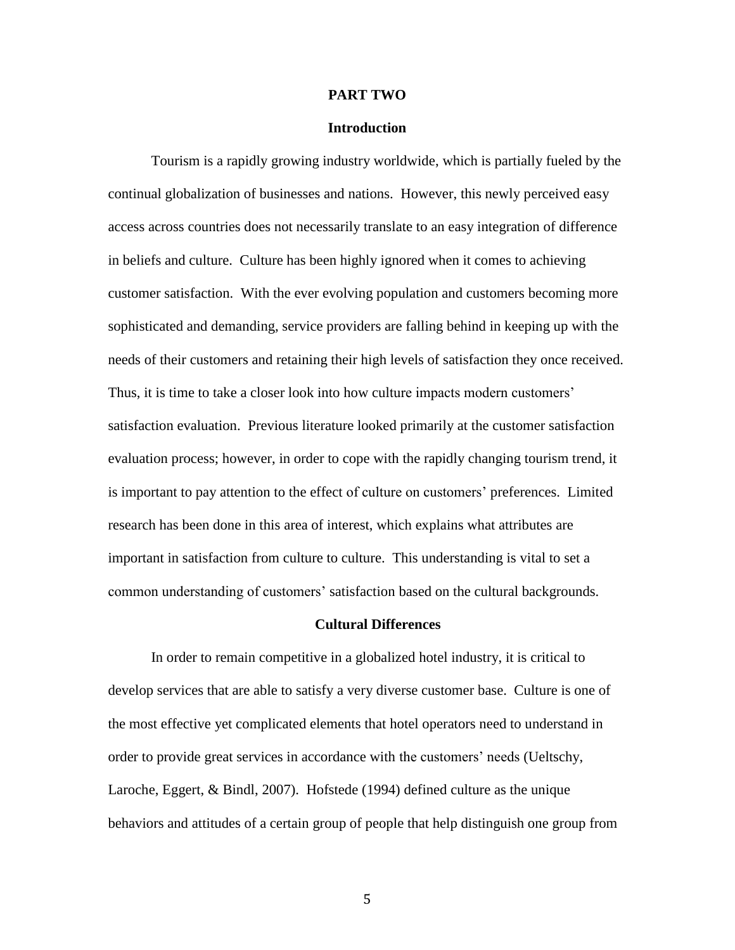#### **PART TWO**

# **Introduction**

Tourism is a rapidly growing industry worldwide, which is partially fueled by the continual globalization of businesses and nations. However, this newly perceived easy access across countries does not necessarily translate to an easy integration of difference in beliefs and culture. Culture has been highly ignored when it comes to achieving customer satisfaction. With the ever evolving population and customers becoming more sophisticated and demanding, service providers are falling behind in keeping up with the needs of their customers and retaining their high levels of satisfaction they once received. Thus, it is time to take a closer look into how culture impacts modern customers' satisfaction evaluation. Previous literature looked primarily at the customer satisfaction evaluation process; however, in order to cope with the rapidly changing tourism trend, it is important to pay attention to the effect of culture on customers' preferences. Limited research has been done in this area of interest, which explains what attributes are important in satisfaction from culture to culture. This understanding is vital to set a common understanding of customers' satisfaction based on the cultural backgrounds.

#### **Cultural Differences**

In order to remain competitive in a globalized hotel industry, it is critical to develop services that are able to satisfy a very diverse customer base. Culture is one of the most effective yet complicated elements that hotel operators need to understand in order to provide great services in accordance with the customers' needs (Ueltschy, Laroche, Eggert, & Bindl, 2007). Hofstede (1994) defined culture as the unique behaviors and attitudes of a certain group of people that help distinguish one group from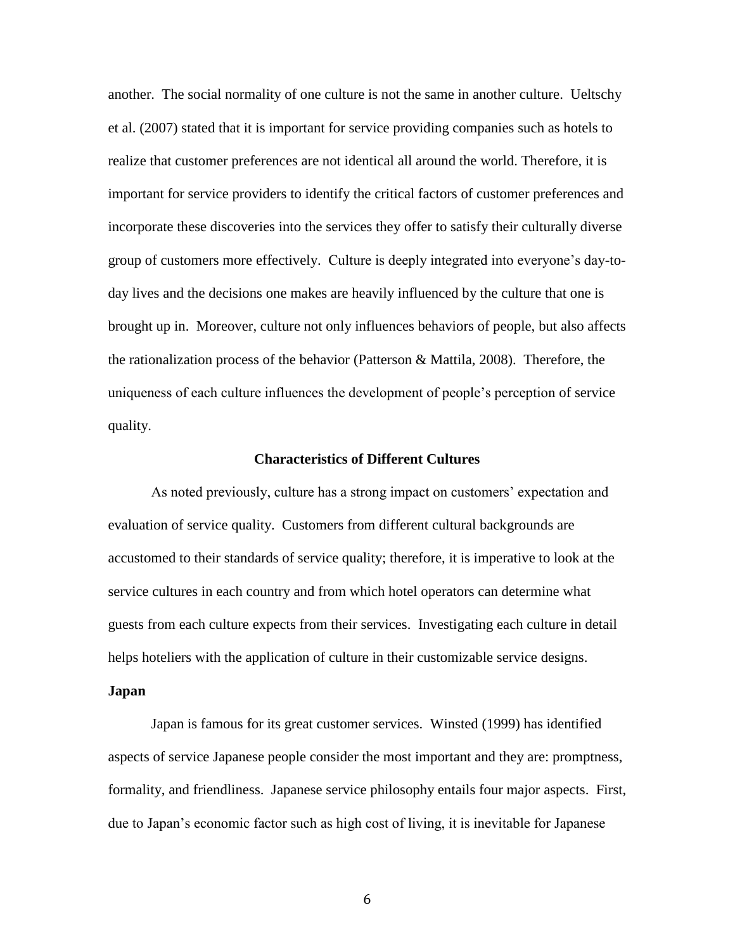another. The social normality of one culture is not the same in another culture. Ueltschy et al. (2007) stated that it is important for service providing companies such as hotels to realize that customer preferences are not identical all around the world. Therefore, it is important for service providers to identify the critical factors of customer preferences and incorporate these discoveries into the services they offer to satisfy their culturally diverse group of customers more effectively. Culture is deeply integrated into everyone's day-today lives and the decisions one makes are heavily influenced by the culture that one is brought up in. Moreover, culture not only influences behaviors of people, but also affects the rationalization process of the behavior (Patterson & Mattila, 2008). Therefore, the uniqueness of each culture influences the development of people's perception of service quality.

#### **Characteristics of Different Cultures**

As noted previously, culture has a strong impact on customers' expectation and evaluation of service quality. Customers from different cultural backgrounds are accustomed to their standards of service quality; therefore, it is imperative to look at the service cultures in each country and from which hotel operators can determine what guests from each culture expects from their services. Investigating each culture in detail helps hoteliers with the application of culture in their customizable service designs.

#### **Japan**

Japan is famous for its great customer services. Winsted (1999) has identified aspects of service Japanese people consider the most important and they are: promptness, formality, and friendliness. Japanese service philosophy entails four major aspects. First, due to Japan's economic factor such as high cost of living, it is inevitable for Japanese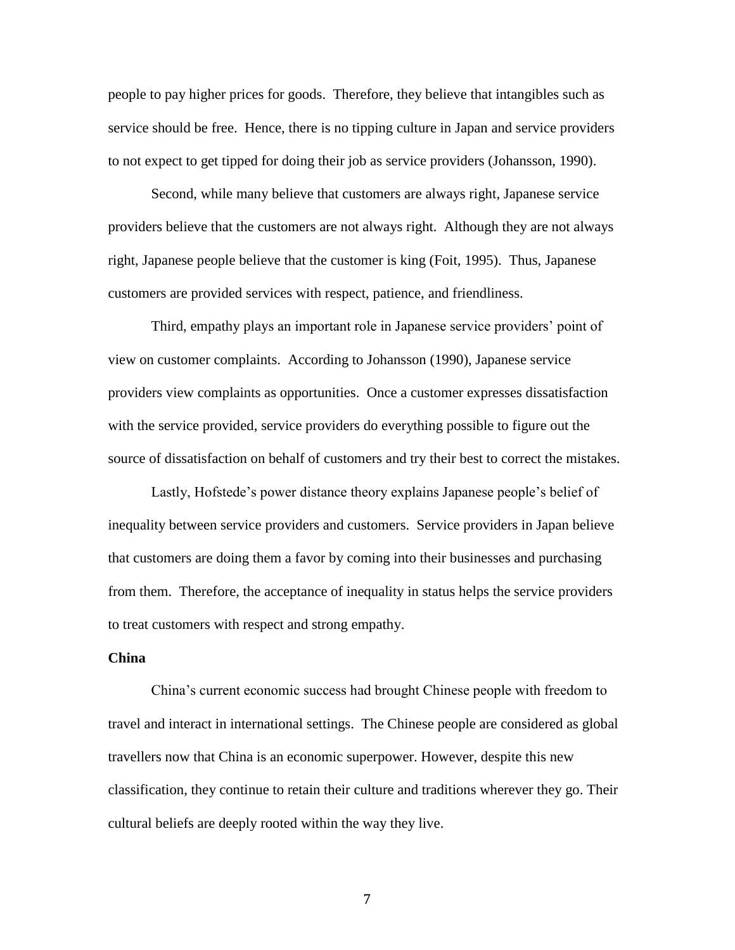people to pay higher prices for goods. Therefore, they believe that intangibles such as service should be free. Hence, there is no tipping culture in Japan and service providers to not expect to get tipped for doing their job as service providers (Johansson, 1990).

Second, while many believe that customers are always right, Japanese service providers believe that the customers are not always right. Although they are not always right, Japanese people believe that the customer is king (Foit, 1995). Thus, Japanese customers are provided services with respect, patience, and friendliness.

Third, empathy plays an important role in Japanese service providers' point of view on customer complaints. According to Johansson (1990), Japanese service providers view complaints as opportunities. Once a customer expresses dissatisfaction with the service provided, service providers do everything possible to figure out the source of dissatisfaction on behalf of customers and try their best to correct the mistakes.

Lastly, Hofstede's power distance theory explains Japanese people's belief of inequality between service providers and customers. Service providers in Japan believe that customers are doing them a favor by coming into their businesses and purchasing from them. Therefore, the acceptance of inequality in status helps the service providers to treat customers with respect and strong empathy.

# **China**

China's current economic success had brought Chinese people with freedom to travel and interact in international settings. The Chinese people are considered as global travellers now that China is an economic superpower. However, despite this new classification, they continue to retain their culture and traditions wherever they go. Their cultural beliefs are deeply rooted within the way they live.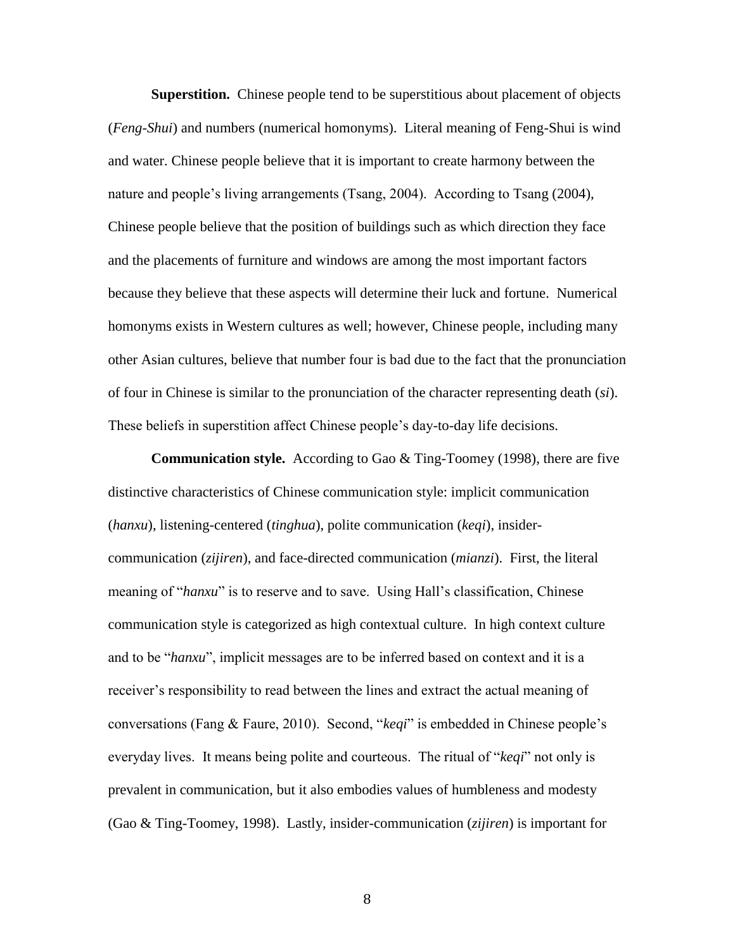**Superstition.** Chinese people tend to be superstitious about placement of objects (*Feng-Shui*) and numbers (numerical homonyms). Literal meaning of Feng-Shui is wind and water. Chinese people believe that it is important to create harmony between the nature and people's living arrangements (Tsang, 2004). According to Tsang (2004), Chinese people believe that the position of buildings such as which direction they face and the placements of furniture and windows are among the most important factors because they believe that these aspects will determine their luck and fortune. Numerical homonyms exists in Western cultures as well; however, Chinese people, including many other Asian cultures, believe that number four is bad due to the fact that the pronunciation of four in Chinese is similar to the pronunciation of the character representing death (*si*). These beliefs in superstition affect Chinese people's day-to-day life decisions.

**Communication style.** According to Gao & Ting-Toomey (1998), there are five distinctive characteristics of Chinese communication style: implicit communication (*hanxu*), listening-centered (*tinghua*), polite communication (*keqi*), insidercommunication (*zijiren*), and face-directed communication (*mianzi*). First, the literal meaning of "*hanxu*" is to reserve and to save. Using Hall's classification, Chinese communication style is categorized as high contextual culture. In high context culture and to be "*hanxu*", implicit messages are to be inferred based on context and it is a receiver's responsibility to read between the lines and extract the actual meaning of conversations (Fang & Faure, 2010). Second, "*keqi*" is embedded in Chinese people's everyday lives. It means being polite and courteous. The ritual of "*keqi*" not only is prevalent in communication, but it also embodies values of humbleness and modesty (Gao & Ting-Toomey, 1998). Lastly, insider-communication (*zijiren*) is important for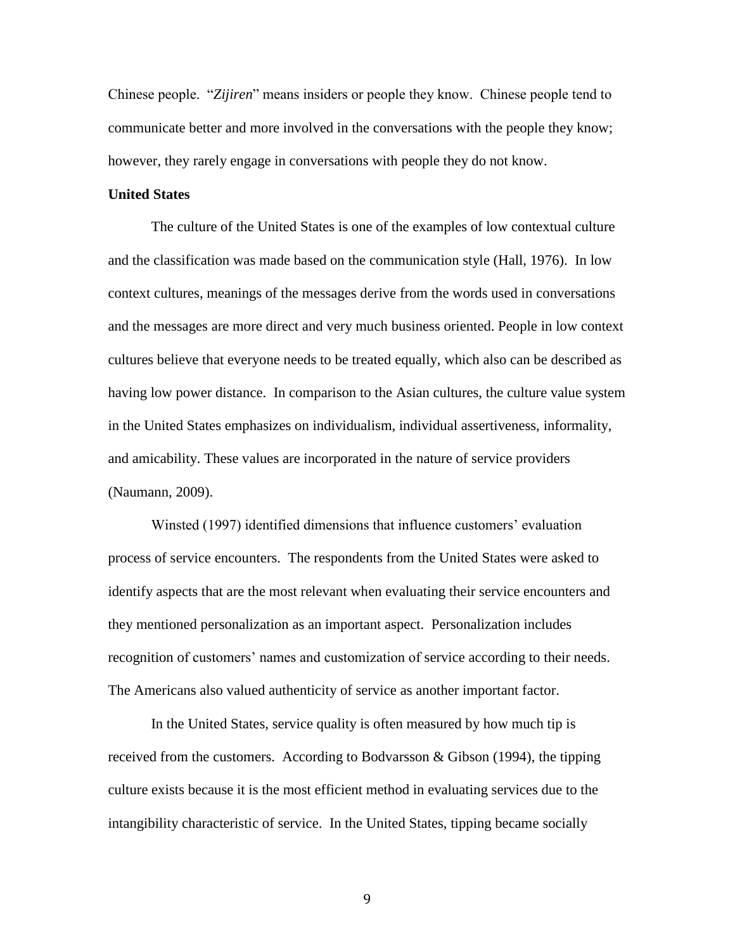Chinese people. "*Zijiren*" means insiders or people they know. Chinese people tend to communicate better and more involved in the conversations with the people they know; however, they rarely engage in conversations with people they do not know.

# **United States**

The culture of the United States is one of the examples of low contextual culture and the classification was made based on the communication style (Hall, 1976). In low context cultures, meanings of the messages derive from the words used in conversations and the messages are more direct and very much business oriented. People in low context cultures believe that everyone needs to be treated equally, which also can be described as having low power distance. In comparison to the Asian cultures, the culture value system in the United States emphasizes on individualism, individual assertiveness, informality, and amicability. These values are incorporated in the nature of service providers (Naumann, 2009).

Winsted (1997) identified dimensions that influence customers' evaluation process of service encounters. The respondents from the United States were asked to identify aspects that are the most relevant when evaluating their service encounters and they mentioned personalization as an important aspect. Personalization includes recognition of customers' names and customization of service according to their needs. The Americans also valued authenticity of service as another important factor.

In the United States, service quality is often measured by how much tip is received from the customers. According to Bodvarsson  $\&$  Gibson (1994), the tipping culture exists because it is the most efficient method in evaluating services due to the intangibility characteristic of service. In the United States, tipping became socially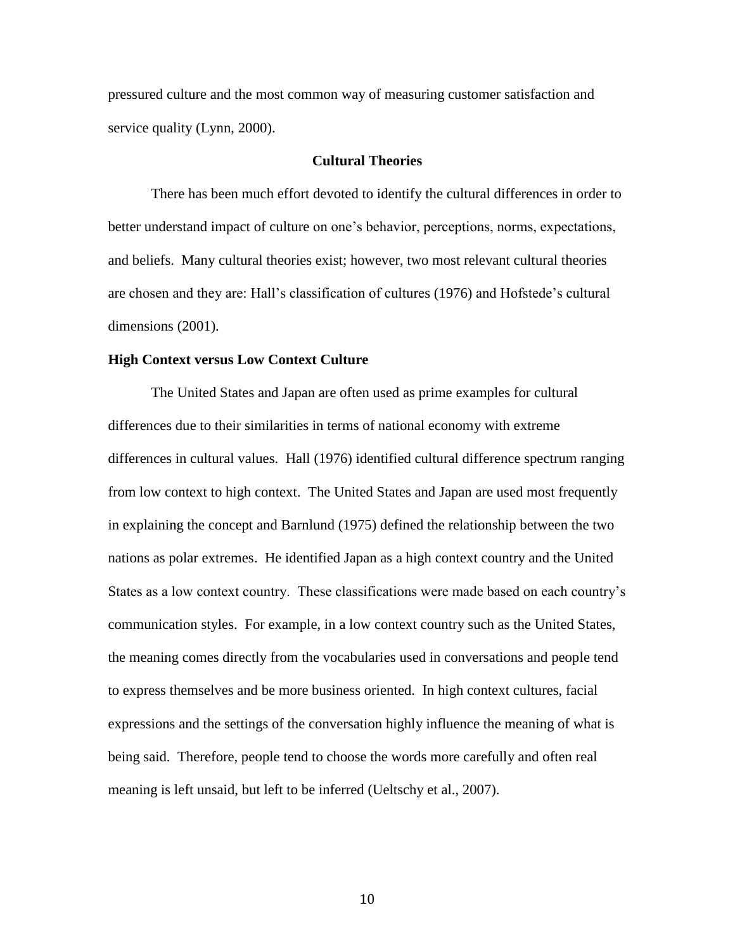pressured culture and the most common way of measuring customer satisfaction and service quality (Lynn, 2000).

# **Cultural Theories**

There has been much effort devoted to identify the cultural differences in order to better understand impact of culture on one's behavior, perceptions, norms, expectations, and beliefs. Many cultural theories exist; however, two most relevant cultural theories are chosen and they are: Hall's classification of cultures (1976) and Hofstede's cultural dimensions (2001).

# **High Context versus Low Context Culture**

The United States and Japan are often used as prime examples for cultural differences due to their similarities in terms of national economy with extreme differences in cultural values. Hall (1976) identified cultural difference spectrum ranging from low context to high context. The United States and Japan are used most frequently in explaining the concept and Barnlund (1975) defined the relationship between the two nations as polar extremes. He identified Japan as a high context country and the United States as a low context country. These classifications were made based on each country's communication styles. For example, in a low context country such as the United States, the meaning comes directly from the vocabularies used in conversations and people tend to express themselves and be more business oriented. In high context cultures, facial expressions and the settings of the conversation highly influence the meaning of what is being said. Therefore, people tend to choose the words more carefully and often real meaning is left unsaid, but left to be inferred (Ueltschy et al., 2007).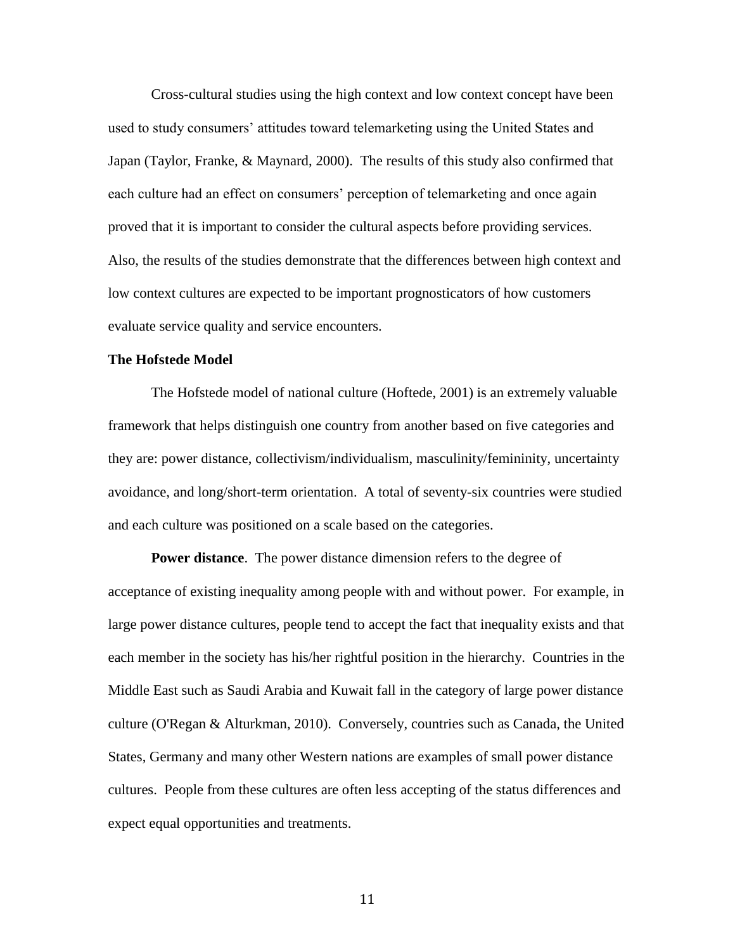Cross-cultural studies using the high context and low context concept have been used to study consumers' attitudes toward telemarketing using the United States and Japan (Taylor, Franke, & Maynard, 2000). The results of this study also confirmed that each culture had an effect on consumers' perception of telemarketing and once again proved that it is important to consider the cultural aspects before providing services. Also, the results of the studies demonstrate that the differences between high context and low context cultures are expected to be important prognosticators of how customers evaluate service quality and service encounters.

# **The Hofstede Model**

The Hofstede model of national culture (Hoftede, 2001) is an extremely valuable framework that helps distinguish one country from another based on five categories and they are: power distance, collectivism/individualism, masculinity/femininity, uncertainty avoidance, and long/short-term orientation. A total of seventy-six countries were studied and each culture was positioned on a scale based on the categories.

**Power distance**. The power distance dimension refers to the degree of acceptance of existing inequality among people with and without power. For example, in large power distance cultures, people tend to accept the fact that inequality exists and that each member in the society has his/her rightful position in the hierarchy. Countries in the Middle East such as Saudi Arabia and Kuwait fall in the category of large power distance culture (O'Regan & Alturkman, 2010). Conversely, countries such as Canada, the United States, Germany and many other Western nations are examples of small power distance cultures. People from these cultures are often less accepting of the status differences and expect equal opportunities and treatments.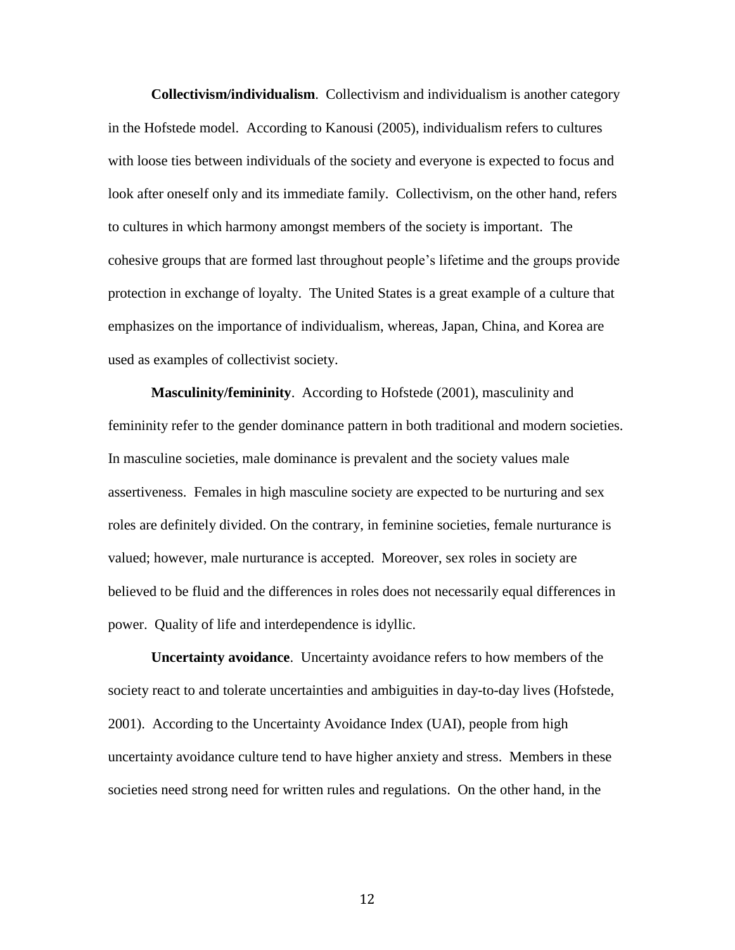**Collectivism/individualism**. Collectivism and individualism is another category in the Hofstede model. According to Kanousi (2005), individualism refers to cultures with loose ties between individuals of the society and everyone is expected to focus and look after oneself only and its immediate family. Collectivism, on the other hand, refers to cultures in which harmony amongst members of the society is important. The cohesive groups that are formed last throughout people's lifetime and the groups provide protection in exchange of loyalty. The United States is a great example of a culture that emphasizes on the importance of individualism, whereas, Japan, China, and Korea are used as examples of collectivist society.

**Masculinity/femininity**. According to Hofstede (2001), masculinity and femininity refer to the gender dominance pattern in both traditional and modern societies. In masculine societies, male dominance is prevalent and the society values male assertiveness. Females in high masculine society are expected to be nurturing and sex roles are definitely divided. On the contrary, in feminine societies, female nurturance is valued; however, male nurturance is accepted. Moreover, sex roles in society are believed to be fluid and the differences in roles does not necessarily equal differences in power. Quality of life and interdependence is idyllic.

**Uncertainty avoidance**. Uncertainty avoidance refers to how members of the society react to and tolerate uncertainties and ambiguities in day-to-day lives (Hofstede, 2001). According to the Uncertainty Avoidance Index (UAI), people from high uncertainty avoidance culture tend to have higher anxiety and stress. Members in these societies need strong need for written rules and regulations. On the other hand, in the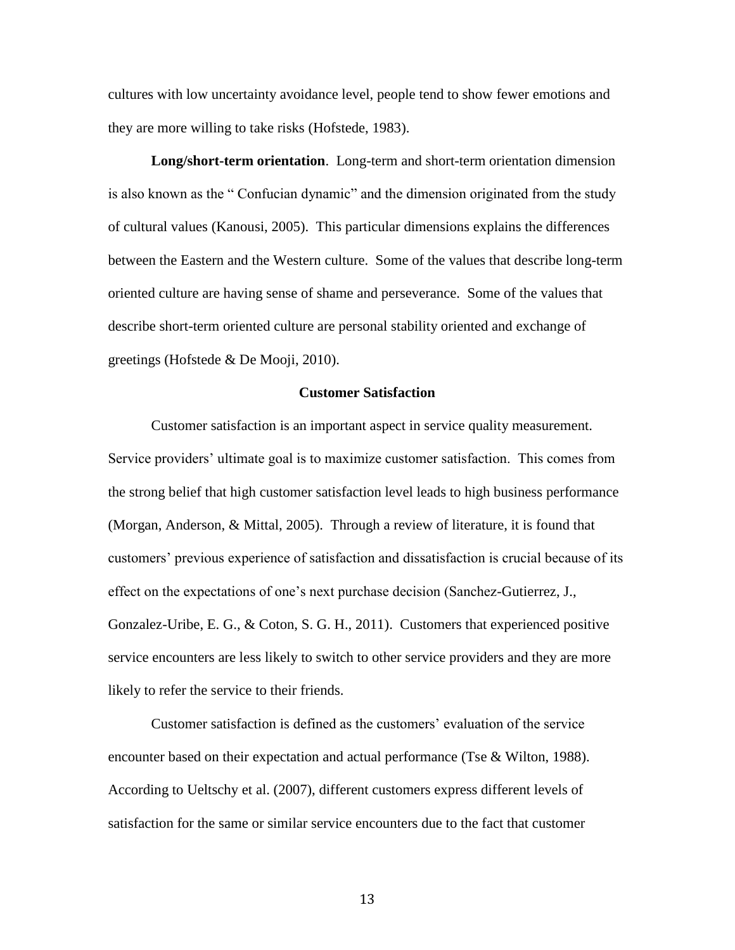cultures with low uncertainty avoidance level, people tend to show fewer emotions and they are more willing to take risks (Hofstede, 1983).

**Long/short-term orientation**. Long-term and short-term orientation dimension is also known as the " Confucian dynamic" and the dimension originated from the study of cultural values (Kanousi, 2005). This particular dimensions explains the differences between the Eastern and the Western culture. Some of the values that describe long-term oriented culture are having sense of shame and perseverance. Some of the values that describe short-term oriented culture are personal stability oriented and exchange of greetings (Hofstede & De Mooji, 2010).

# **Customer Satisfaction**

Customer satisfaction is an important aspect in service quality measurement. Service providers' ultimate goal is to maximize customer satisfaction. This comes from the strong belief that high customer satisfaction level leads to high business performance (Morgan, Anderson, & Mittal, 2005). Through a review of literature, it is found that customers' previous experience of satisfaction and dissatisfaction is crucial because of its effect on the expectations of one's next purchase decision (Sanchez-Gutierrez, J., Gonzalez-Uribe, E. G., & Coton, S. G. H., 2011). Customers that experienced positive service encounters are less likely to switch to other service providers and they are more likely to refer the service to their friends.

Customer satisfaction is defined as the customers' evaluation of the service encounter based on their expectation and actual performance (Tse & Wilton, 1988). According to Ueltschy et al. (2007), different customers express different levels of satisfaction for the same or similar service encounters due to the fact that customer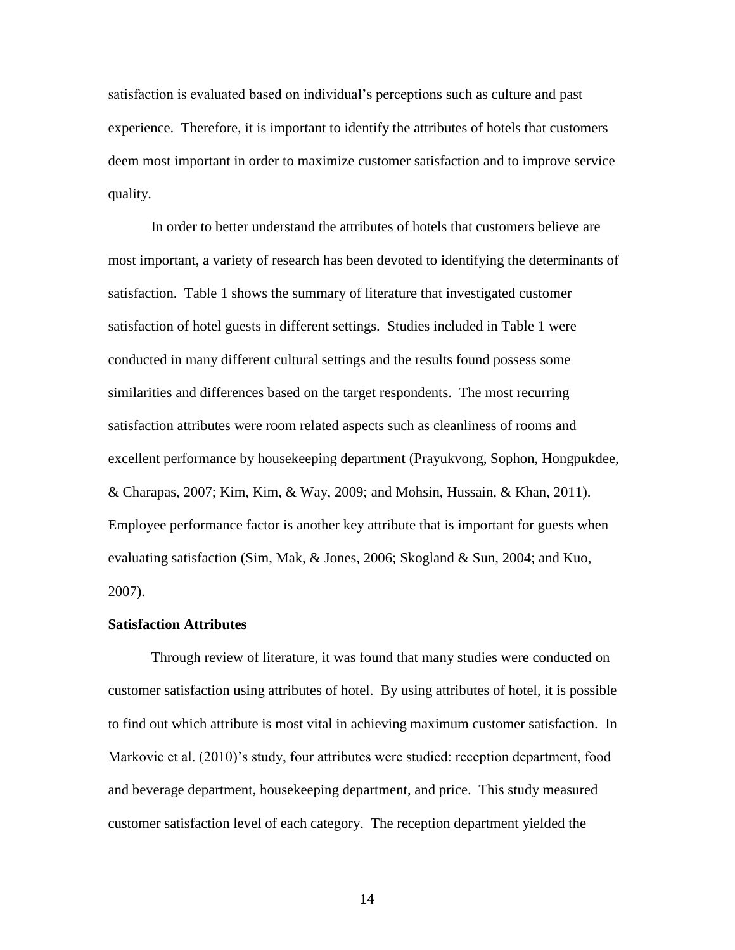satisfaction is evaluated based on individual's perceptions such as culture and past experience. Therefore, it is important to identify the attributes of hotels that customers deem most important in order to maximize customer satisfaction and to improve service quality.

In order to better understand the attributes of hotels that customers believe are most important, a variety of research has been devoted to identifying the determinants of satisfaction. Table 1 shows the summary of literature that investigated customer satisfaction of hotel guests in different settings. Studies included in Table 1 were conducted in many different cultural settings and the results found possess some similarities and differences based on the target respondents. The most recurring satisfaction attributes were room related aspects such as cleanliness of rooms and excellent performance by housekeeping department (Prayukvong, Sophon, Hongpukdee, & Charapas, 2007; Kim, Kim, & Way, 2009; and Mohsin, Hussain, & Khan, 2011). Employee performance factor is another key attribute that is important for guests when evaluating satisfaction (Sim, Mak, & Jones, 2006; Skogland & Sun, 2004; and Kuo, 2007).

# **Satisfaction Attributes**

Through review of literature, it was found that many studies were conducted on customer satisfaction using attributes of hotel. By using attributes of hotel, it is possible to find out which attribute is most vital in achieving maximum customer satisfaction. In Markovic et al. (2010)'s study, four attributes were studied: reception department, food and beverage department, housekeeping department, and price. This study measured customer satisfaction level of each category. The reception department yielded the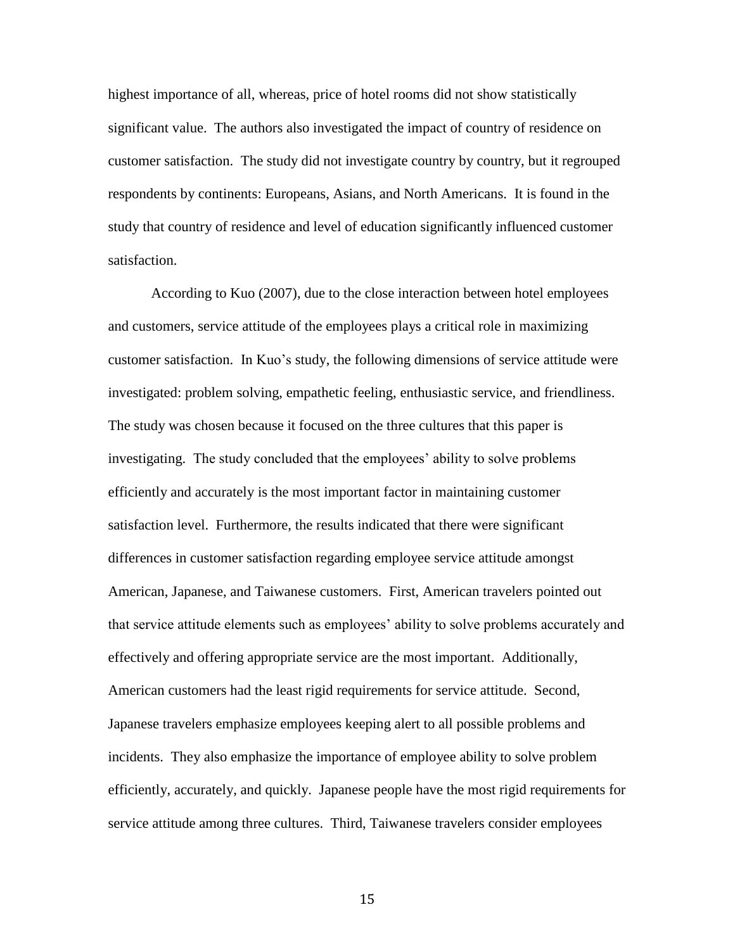highest importance of all, whereas, price of hotel rooms did not show statistically significant value. The authors also investigated the impact of country of residence on customer satisfaction. The study did not investigate country by country, but it regrouped respondents by continents: Europeans, Asians, and North Americans. It is found in the study that country of residence and level of education significantly influenced customer satisfaction.

According to Kuo (2007), due to the close interaction between hotel employees and customers, service attitude of the employees plays a critical role in maximizing customer satisfaction. In Kuo's study, the following dimensions of service attitude were investigated: problem solving, empathetic feeling, enthusiastic service, and friendliness. The study was chosen because it focused on the three cultures that this paper is investigating. The study concluded that the employees' ability to solve problems efficiently and accurately is the most important factor in maintaining customer satisfaction level. Furthermore, the results indicated that there were significant differences in customer satisfaction regarding employee service attitude amongst American, Japanese, and Taiwanese customers. First, American travelers pointed out that service attitude elements such as employees' ability to solve problems accurately and effectively and offering appropriate service are the most important. Additionally, American customers had the least rigid requirements for service attitude. Second, Japanese travelers emphasize employees keeping alert to all possible problems and incidents. They also emphasize the importance of employee ability to solve problem efficiently, accurately, and quickly. Japanese people have the most rigid requirements for service attitude among three cultures. Third, Taiwanese travelers consider employees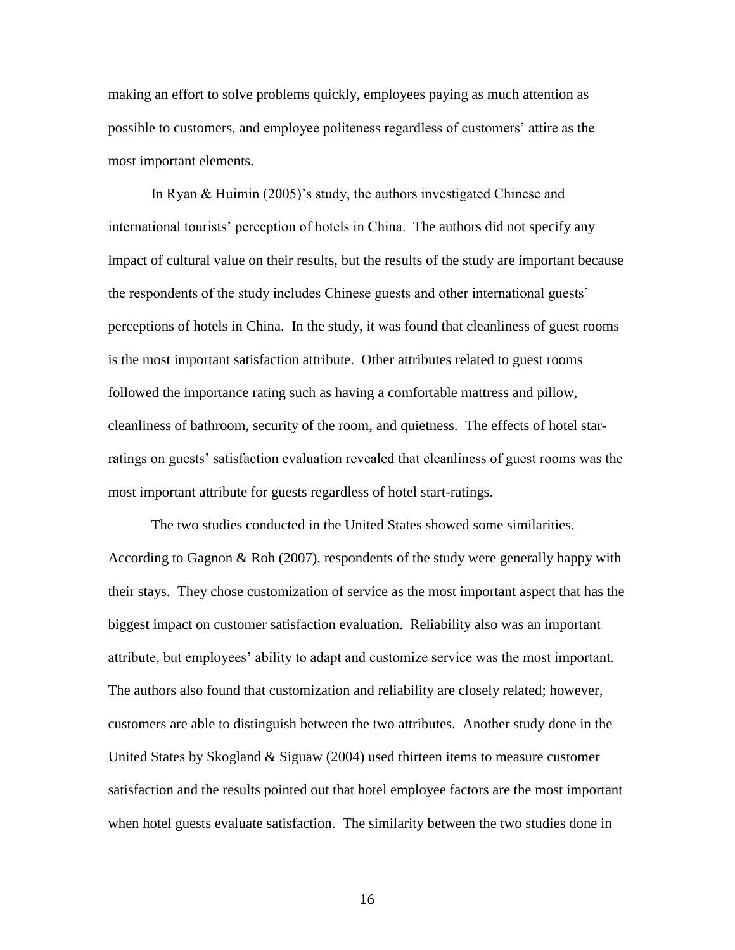making an effort to solve problems quickly, employees paying as much attention as possible to customers, and employee politeness regardless of customers' attire as the most important elements.

In Ryan & Huimin (2005)'s study, the authors investigated Chinese and international tourists' perception of hotels in China. The authors did not specify any impact of cultural value on their results, but the results of the study are important because the respondents of the study includes Chinese guests and other international guests' perceptions of hotels in China. In the study, it was found that cleanliness of guest rooms is the most important satisfaction attribute. Other attributes related to guest rooms followed the importance rating such as having a comfortable mattress and pillow, cleanliness of bathroom, security of the room, and quietness. The effects of hotel starratings on guests' satisfaction evaluation revealed that cleanliness of guest rooms was the most important attribute for guests regardless of hotel start-ratings.

The two studies conducted in the United States showed some similarities. According to Gagnon & Roh (2007), respondents of the study were generally happy with their stays. They chose customization of service as the most important aspect that has the biggest impact on customer satisfaction evaluation. Reliability also was an important attribute, but employees' ability to adapt and customize service was the most important. The authors also found that customization and reliability are closely related; however, customers are able to distinguish between the two attributes. Another study done in the United States by Skogland & Siguaw (2004) used thirteen items to measure customer satisfaction and the results pointed out that hotel employee factors are the most important when hotel guests evaluate satisfaction. The similarity between the two studies done in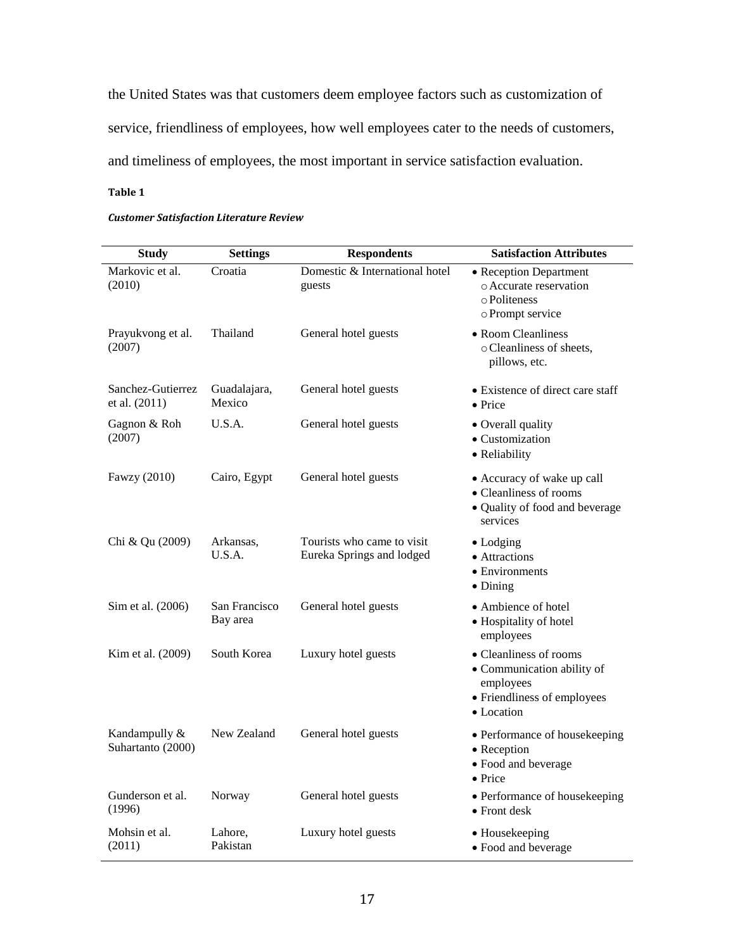the United States was that customers deem employee factors such as customization of service, friendliness of employees, how well employees cater to the needs of customers, and timeliness of employees, the most important in service satisfaction evaluation.

# **Table 1**

| <b>Study</b>                       | <b>Settings</b>           | <b>Respondents</b>                                      | <b>Satisfaction Attributes</b>                                                                                 |
|------------------------------------|---------------------------|---------------------------------------------------------|----------------------------------------------------------------------------------------------------------------|
| Markovic et al.<br>(2010)          | Croatia                   | Domestic & International hotel<br>guests                | • Reception Department<br>o Accurate reservation<br>o Politeness<br>o Prompt service                           |
| Prayukvong et al.<br>(2007)        | Thailand                  | General hotel guests                                    | • Room Cleanliness<br>o Cleanliness of sheets,<br>pillows, etc.                                                |
| Sanchez-Gutierrez<br>et al. (2011) | Guadalajara,<br>Mexico    | General hotel guests                                    | • Existence of direct care staff<br>$\bullet$ Price                                                            |
| Gagnon & Roh<br>(2007)             | U.S.A.                    | General hotel guests                                    | • Overall quality<br>• Customization<br>• Reliability                                                          |
| Fawzy (2010)                       | Cairo, Egypt              | General hotel guests                                    | • Accuracy of wake up call<br>• Cleanliness of rooms<br>• Quality of food and beverage<br>services             |
| Chi & Qu (2009)                    | Arkansas,<br>U.S.A.       | Tourists who came to visit<br>Eureka Springs and lodged | $\bullet$ Lodging<br>• Attractions<br>• Environments<br>$\bullet$ Dining                                       |
| Sim et al. (2006)                  | San Francisco<br>Bay area | General hotel guests                                    | • Ambience of hotel<br>• Hospitality of hotel<br>employees                                                     |
| Kim et al. (2009)                  | South Korea               | Luxury hotel guests                                     | • Cleanliness of rooms<br>• Communication ability of<br>employees<br>• Friendliness of employees<br>• Location |
| Kandampully &<br>Suhartanto (2000) | New Zealand               | General hotel guests                                    | • Performance of housekeeping<br>• Reception<br>• Food and beverage<br>$\bullet$ Price                         |
| Gunderson et al.<br>(1996)         | Norway                    | General hotel guests                                    | • Performance of housekeeping<br>$\bullet$ Front desk                                                          |
| Mohsin et al.<br>(2011)            | Lahore,<br>Pakistan       | Luxury hotel guests                                     | • Housekeeping<br>• Food and beverage                                                                          |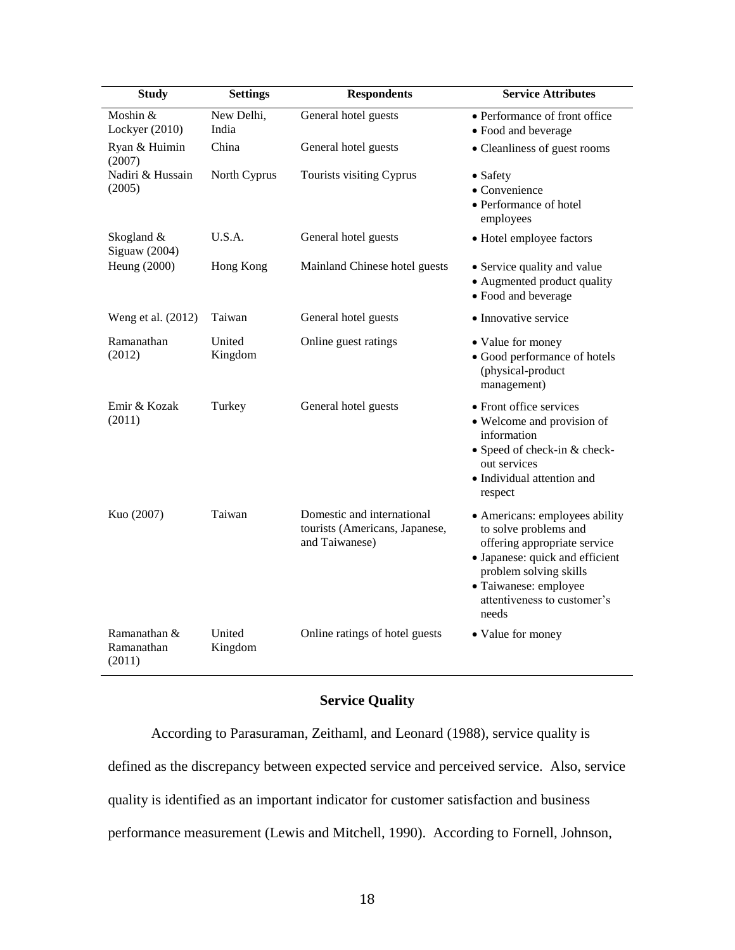| <b>Study</b>                         | <b>Settings</b>     | <b>Respondents</b>                                                             | <b>Service Attributes</b>                                                                                                                                                                                             |
|--------------------------------------|---------------------|--------------------------------------------------------------------------------|-----------------------------------------------------------------------------------------------------------------------------------------------------------------------------------------------------------------------|
| Moshin $&$<br>Lockyer (2010)         | New Delhi,<br>India | General hotel guests                                                           | • Performance of front office<br>· Food and beverage                                                                                                                                                                  |
| Ryan & Huimin<br>(2007)              | China               | General hotel guests                                                           | • Cleanliness of guest rooms                                                                                                                                                                                          |
| Nadiri & Hussain<br>(2005)           | North Cyprus        | Tourists visiting Cyprus                                                       | • Safety<br>• Convenience<br>• Performance of hotel<br>employees                                                                                                                                                      |
| Skogland &<br>Siguaw (2004)          | U.S.A.              | General hotel guests                                                           | • Hotel employee factors                                                                                                                                                                                              |
| Heung (2000)                         | Hong Kong           | Mainland Chinese hotel guests                                                  | • Service quality and value<br>· Augmented product quality<br>• Food and beverage                                                                                                                                     |
| Weng et al. (2012)                   | Taiwan              | General hotel guests                                                           | • Innovative service                                                                                                                                                                                                  |
| Ramanathan<br>(2012)                 | United<br>Kingdom   | Online guest ratings                                                           | • Value for money<br>• Good performance of hotels<br>(physical-product<br>management)                                                                                                                                 |
| Emir & Kozak<br>(2011)               | Turkey              | General hotel guests                                                           | • Front office services<br>• Welcome and provision of<br>information<br>• Speed of check-in & check-<br>out services<br>• Individual attention and<br>respect                                                         |
| Kuo (2007)                           | Taiwan              | Domestic and international<br>tourists (Americans, Japanese,<br>and Taiwanese) | • Americans: employees ability<br>to solve problems and<br>offering appropriate service<br>· Japanese: quick and efficient<br>problem solving skills<br>· Taiwanese: employee<br>attentiveness to customer's<br>needs |
| Ramanathan &<br>Ramanathan<br>(2011) | United<br>Kingdom   | Online ratings of hotel guests                                                 | • Value for money                                                                                                                                                                                                     |

# **Service Quality**

According to Parasuraman, Zeithaml, and Leonard (1988), service quality is defined as the discrepancy between expected service and perceived service. Also, service quality is identified as an important indicator for customer satisfaction and business performance measurement (Lewis and Mitchell, 1990). According to Fornell, Johnson,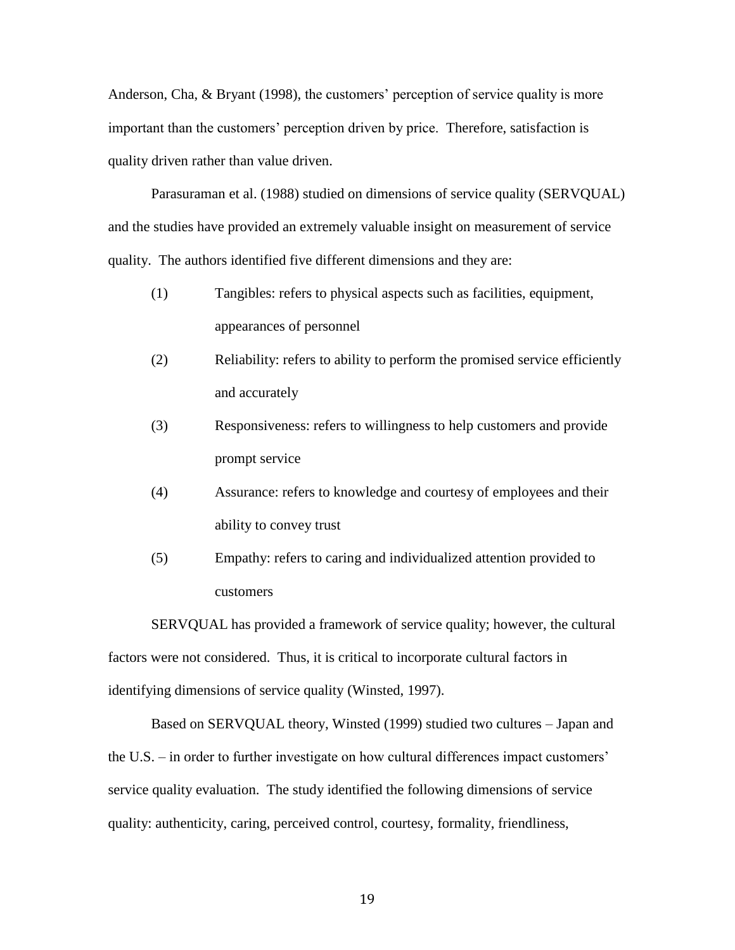Anderson, Cha, & Bryant (1998), the customers' perception of service quality is more important than the customers' perception driven by price. Therefore, satisfaction is quality driven rather than value driven.

Parasuraman et al. (1988) studied on dimensions of service quality (SERVQUAL) and the studies have provided an extremely valuable insight on measurement of service quality. The authors identified five different dimensions and they are:

- (1) Tangibles: refers to physical aspects such as facilities, equipment, appearances of personnel
- (2) Reliability: refers to ability to perform the promised service efficiently and accurately
- (3) Responsiveness: refers to willingness to help customers and provide prompt service
- (4) Assurance: refers to knowledge and courtesy of employees and their ability to convey trust
- (5) Empathy: refers to caring and individualized attention provided to customers

SERVQUAL has provided a framework of service quality; however, the cultural factors were not considered. Thus, it is critical to incorporate cultural factors in identifying dimensions of service quality (Winsted, 1997).

Based on SERVQUAL theory, Winsted (1999) studied two cultures – Japan and the U.S. – in order to further investigate on how cultural differences impact customers' service quality evaluation. The study identified the following dimensions of service quality: authenticity, caring, perceived control, courtesy, formality, friendliness,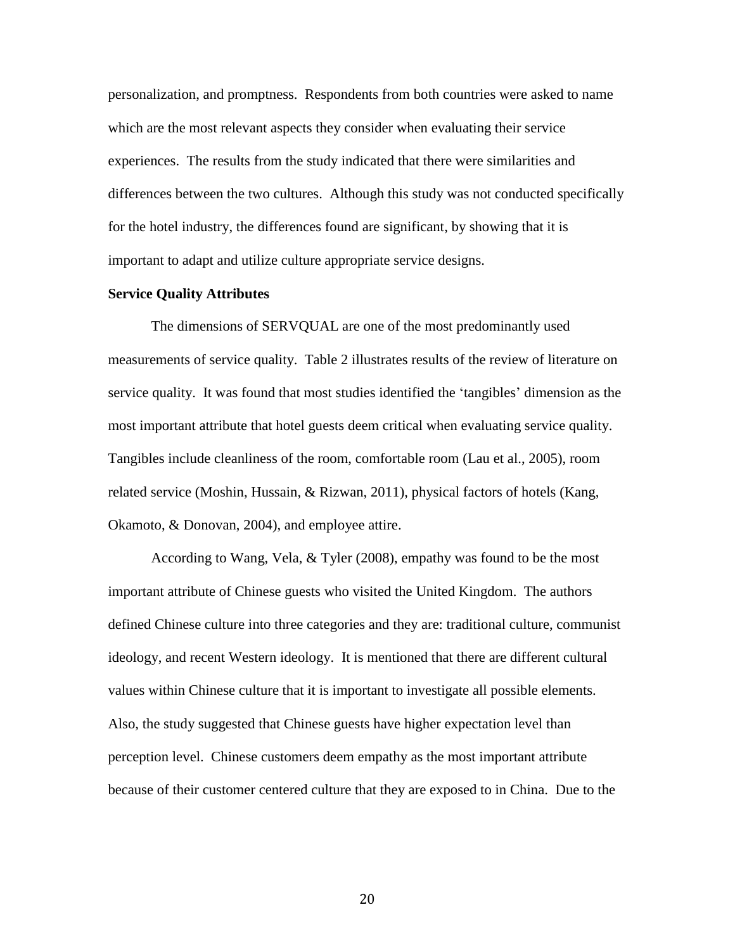personalization, and promptness. Respondents from both countries were asked to name which are the most relevant aspects they consider when evaluating their service experiences. The results from the study indicated that there were similarities and differences between the two cultures. Although this study was not conducted specifically for the hotel industry, the differences found are significant, by showing that it is important to adapt and utilize culture appropriate service designs.

# **Service Quality Attributes**

The dimensions of SERVQUAL are one of the most predominantly used measurements of service quality. Table 2 illustrates results of the review of literature on service quality. It was found that most studies identified the 'tangibles' dimension as the most important attribute that hotel guests deem critical when evaluating service quality. Tangibles include cleanliness of the room, comfortable room (Lau et al., 2005), room related service (Moshin, Hussain, & Rizwan, 2011), physical factors of hotels (Kang, Okamoto, & Donovan, 2004), and employee attire.

According to Wang, Vela, & Tyler (2008), empathy was found to be the most important attribute of Chinese guests who visited the United Kingdom. The authors defined Chinese culture into three categories and they are: traditional culture, communist ideology, and recent Western ideology. It is mentioned that there are different cultural values within Chinese culture that it is important to investigate all possible elements. Also, the study suggested that Chinese guests have higher expectation level than perception level. Chinese customers deem empathy as the most important attribute because of their customer centered culture that they are exposed to in China. Due to the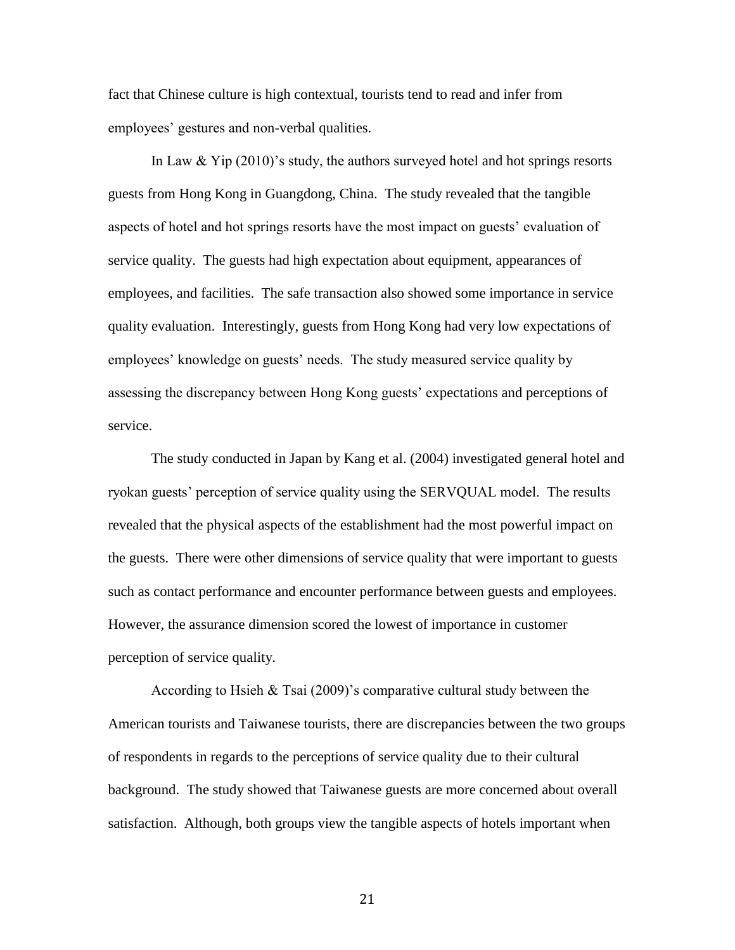fact that Chinese culture is high contextual, tourists tend to read and infer from employees' gestures and non-verbal qualities.

In Law  $&$  Yip (2010)'s study, the authors surveyed hotel and hot springs resorts guests from Hong Kong in Guangdong, China. The study revealed that the tangible aspects of hotel and hot springs resorts have the most impact on guests' evaluation of service quality. The guests had high expectation about equipment, appearances of employees, and facilities. The safe transaction also showed some importance in service quality evaluation. Interestingly, guests from Hong Kong had very low expectations of employees' knowledge on guests' needs. The study measured service quality by assessing the discrepancy between Hong Kong guests' expectations and perceptions of service.

The study conducted in Japan by Kang et al. (2004) investigated general hotel and ryokan guests' perception of service quality using the SERVQUAL model. The results revealed that the physical aspects of the establishment had the most powerful impact on the guests. There were other dimensions of service quality that were important to guests such as contact performance and encounter performance between guests and employees. However, the assurance dimension scored the lowest of importance in customer perception of service quality.

According to Hsieh & Tsai (2009)'s comparative cultural study between the American tourists and Taiwanese tourists, there are discrepancies between the two groups of respondents in regards to the perceptions of service quality due to their cultural background. The study showed that Taiwanese guests are more concerned about overall satisfaction. Although, both groups view the tangible aspects of hotels important when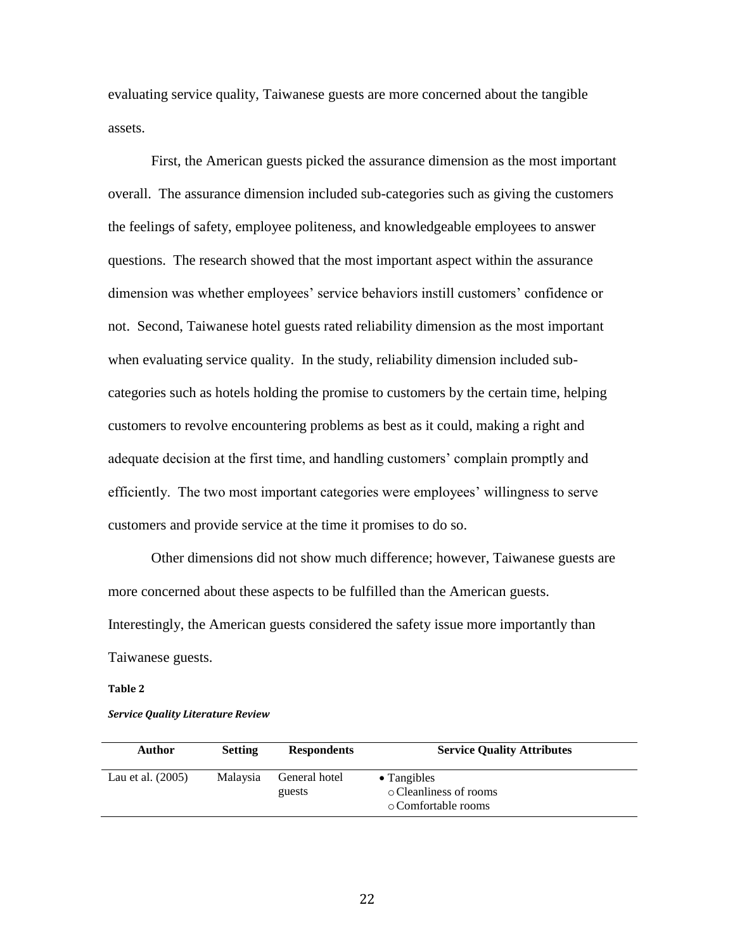evaluating service quality, Taiwanese guests are more concerned about the tangible assets.

First, the American guests picked the assurance dimension as the most important overall. The assurance dimension included sub-categories such as giving the customers the feelings of safety, employee politeness, and knowledgeable employees to answer questions. The research showed that the most important aspect within the assurance dimension was whether employees' service behaviors instill customers' confidence or not. Second, Taiwanese hotel guests rated reliability dimension as the most important when evaluating service quality. In the study, reliability dimension included subcategories such as hotels holding the promise to customers by the certain time, helping customers to revolve encountering problems as best as it could, making a right and adequate decision at the first time, and handling customers' complain promptly and efficiently. The two most important categories were employees' willingness to serve customers and provide service at the time it promises to do so.

Other dimensions did not show much difference; however, Taiwanese guests are more concerned about these aspects to be fulfilled than the American guests. Interestingly, the American guests considered the safety issue more importantly than Taiwanese guests.

#### **Table 2**

*Service Quality Literature Review*

| Author              | <b>Setting</b> | <b>Respondents</b>      | <b>Service Quality Attributes</b>                                    |
|---------------------|----------------|-------------------------|----------------------------------------------------------------------|
| Lau et al. $(2005)$ | Malaysia       | General hotel<br>guests | $\bullet$ Tangibles<br>○ Cleanliness of rooms<br>⊙ Comfortable rooms |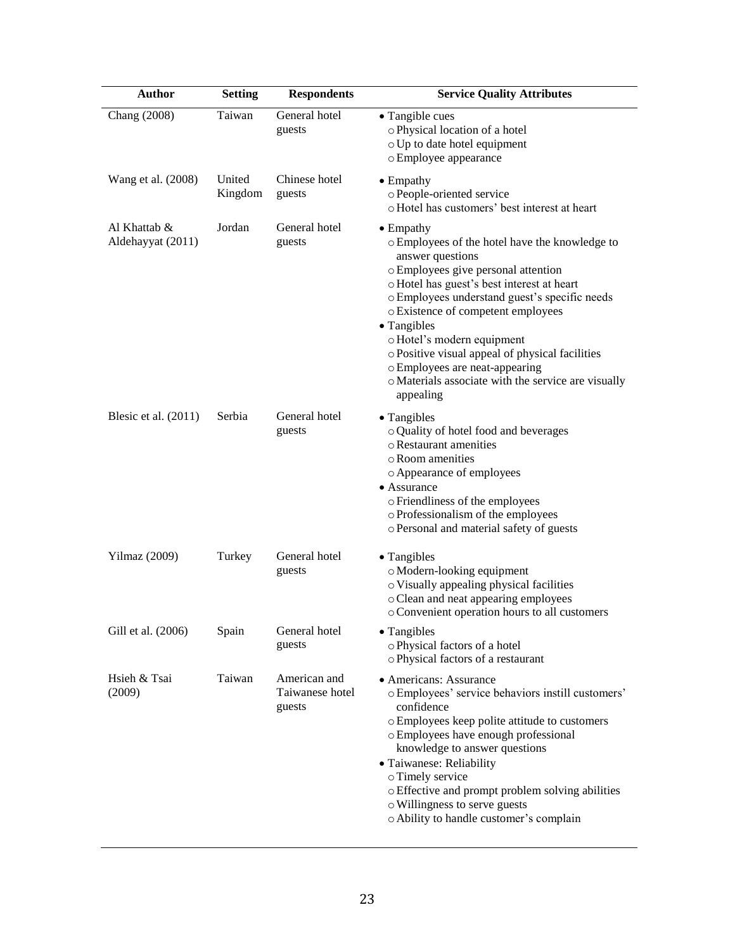| <b>Author</b>                     | <b>Setting</b>    | <b>Respondents</b>                        | <b>Service Quality Attributes</b>                                                                                                                                                                                                                                                                                                                                                                                                                                         |
|-----------------------------------|-------------------|-------------------------------------------|---------------------------------------------------------------------------------------------------------------------------------------------------------------------------------------------------------------------------------------------------------------------------------------------------------------------------------------------------------------------------------------------------------------------------------------------------------------------------|
| Chang (2008)                      | Taiwan            | General hotel<br>guests                   | • Tangible cues<br>o Physical location of a hotel<br>o Up to date hotel equipment<br>o Employee appearance                                                                                                                                                                                                                                                                                                                                                                |
| Wang et al. (2008)                | United<br>Kingdom | Chinese hotel<br>guests                   | $\bullet$ Empathy<br>o People-oriented service<br>o Hotel has customers' best interest at heart                                                                                                                                                                                                                                                                                                                                                                           |
| Al Khattab &<br>Aldehayyat (2011) | Jordan            | General hotel<br>guests                   | $\bullet$ Empathy<br>o Employees of the hotel have the knowledge to<br>answer questions<br>o Employees give personal attention<br>o Hotel has guest's best interest at heart<br>o Employees understand guest's specific needs<br>o Existence of competent employees<br>• Tangibles<br>o Hotel's modern equipment<br>o Positive visual appeal of physical facilities<br>o Employees are neat-appearing<br>o Materials associate with the service are visually<br>appealing |
| Blesic et al. (2011)              | Serbia            | General hotel<br>guests                   | • Tangibles<br>o Quality of hotel food and beverages<br>o Restaurant amenities<br>o Room amenities<br>o Appearance of employees<br>• Assurance<br>o Friendliness of the employees<br>o Professionalism of the employees<br>o Personal and material safety of guests                                                                                                                                                                                                       |
| Yilmaz (2009)                     | Turkey            | General hotel<br>guests                   | • Tangibles<br>o Modern-looking equipment<br>o Visually appealing physical facilities<br>o Clean and neat appearing employees<br>o Convenient operation hours to all customers                                                                                                                                                                                                                                                                                            |
| Gill et al. (2006)                | Spain             | General hotel<br>guests                   | • Tangibles<br>o Physical factors of a hotel<br>o Physical factors of a restaurant                                                                                                                                                                                                                                                                                                                                                                                        |
| Hsieh & Tsai<br>(2009)            | Taiwan            | American and<br>Taiwanese hotel<br>guests | • Americans: Assurance<br>o Employees' service behaviors instill customers'<br>confidence<br>o Employees keep polite attitude to customers<br>o Employees have enough professional<br>knowledge to answer questions<br>• Taiwanese: Reliability<br>o Timely service<br>o Effective and prompt problem solving abilities<br>o Willingness to serve guests<br>o Ability to handle customer's complain                                                                       |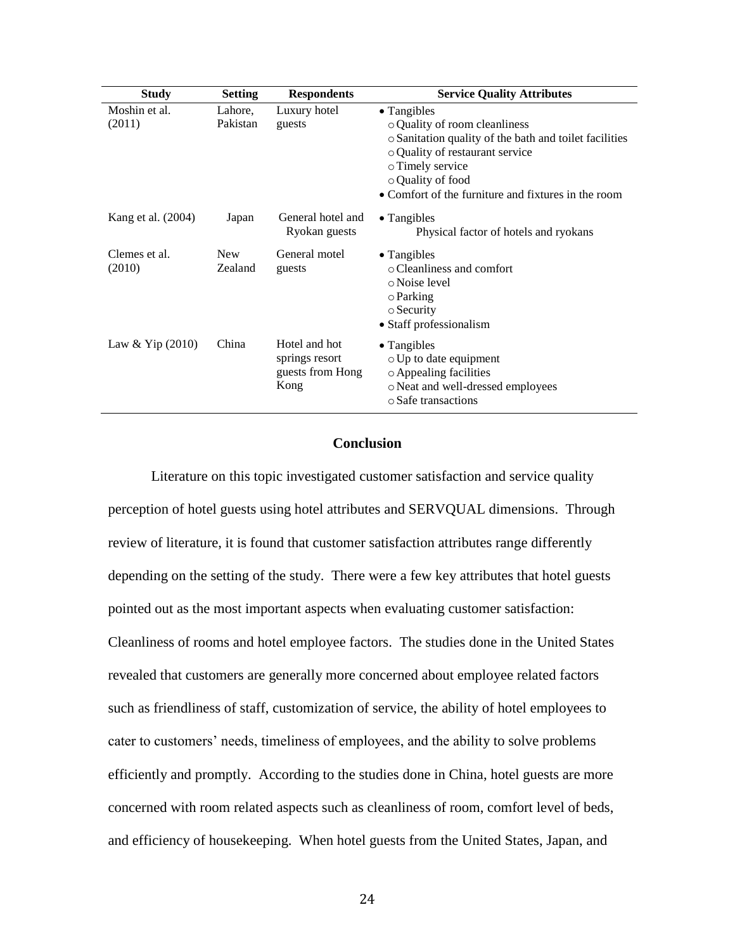| <b>Study</b>            | <b>Setting</b>        | <b>Respondents</b>                                          | <b>Service Quality Attributes</b>                                                                                                               |
|-------------------------|-----------------------|-------------------------------------------------------------|-------------------------------------------------------------------------------------------------------------------------------------------------|
| Moshin et al.<br>(2011) | Lahore,<br>Pakistan   | Luxury hotel<br>guests                                      | • Tangibles<br>• Quality of room cleanliness<br>o Sanitation quality of the bath and toilet facilities<br>o Quality of restaurant service       |
|                         |                       |                                                             | o Timely service<br>o Quality of food<br>• Comfort of the furniture and fixtures in the room                                                    |
| Kang et al. (2004)      | Japan                 | General hotel and<br>Ryokan guests                          | $\bullet$ Tangibles<br>Physical factor of hotels and ryokans                                                                                    |
| Clemes et al.<br>(2010) | <b>New</b><br>Zealand | General motel<br>guests                                     | $\bullet$ Tangibles<br>$\circ$ Cleanliness and comfort<br>o Noise level<br>$\circ$ Parking<br>$\circ$ Security<br>• Staff professionalism       |
| Law & Yip $(2010)$      | China                 | Hotel and hot<br>springs resort<br>guests from Hong<br>Kong | $\bullet$ Tangibles<br>$\circ$ Up to date equipment<br>o Appealing facilities<br>o Neat and well-dressed employees<br>$\circ$ Safe transactions |

# **Conclusion**

Literature on this topic investigated customer satisfaction and service quality perception of hotel guests using hotel attributes and SERVQUAL dimensions. Through review of literature, it is found that customer satisfaction attributes range differently depending on the setting of the study. There were a few key attributes that hotel guests pointed out as the most important aspects when evaluating customer satisfaction: Cleanliness of rooms and hotel employee factors. The studies done in the United States revealed that customers are generally more concerned about employee related factors such as friendliness of staff, customization of service, the ability of hotel employees to cater to customers' needs, timeliness of employees, and the ability to solve problems efficiently and promptly. According to the studies done in China, hotel guests are more concerned with room related aspects such as cleanliness of room, comfort level of beds, and efficiency of housekeeping. When hotel guests from the United States, Japan, and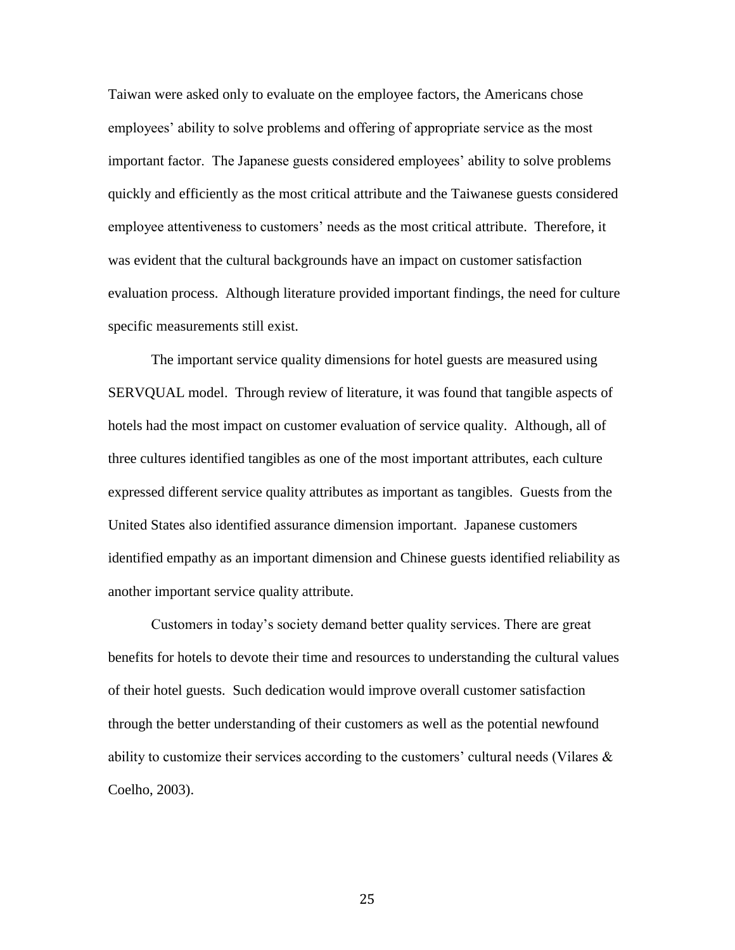Taiwan were asked only to evaluate on the employee factors, the Americans chose employees' ability to solve problems and offering of appropriate service as the most important factor. The Japanese guests considered employees' ability to solve problems quickly and efficiently as the most critical attribute and the Taiwanese guests considered employee attentiveness to customers' needs as the most critical attribute. Therefore, it was evident that the cultural backgrounds have an impact on customer satisfaction evaluation process. Although literature provided important findings, the need for culture specific measurements still exist.

The important service quality dimensions for hotel guests are measured using SERVQUAL model. Through review of literature, it was found that tangible aspects of hotels had the most impact on customer evaluation of service quality. Although, all of three cultures identified tangibles as one of the most important attributes, each culture expressed different service quality attributes as important as tangibles. Guests from the United States also identified assurance dimension important. Japanese customers identified empathy as an important dimension and Chinese guests identified reliability as another important service quality attribute.

Customers in today's society demand better quality services. There are great benefits for hotels to devote their time and resources to understanding the cultural values of their hotel guests. Such dedication would improve overall customer satisfaction through the better understanding of their customers as well as the potential newfound ability to customize their services according to the customers' cultural needs (Vilares  $\&$ Coelho, 2003).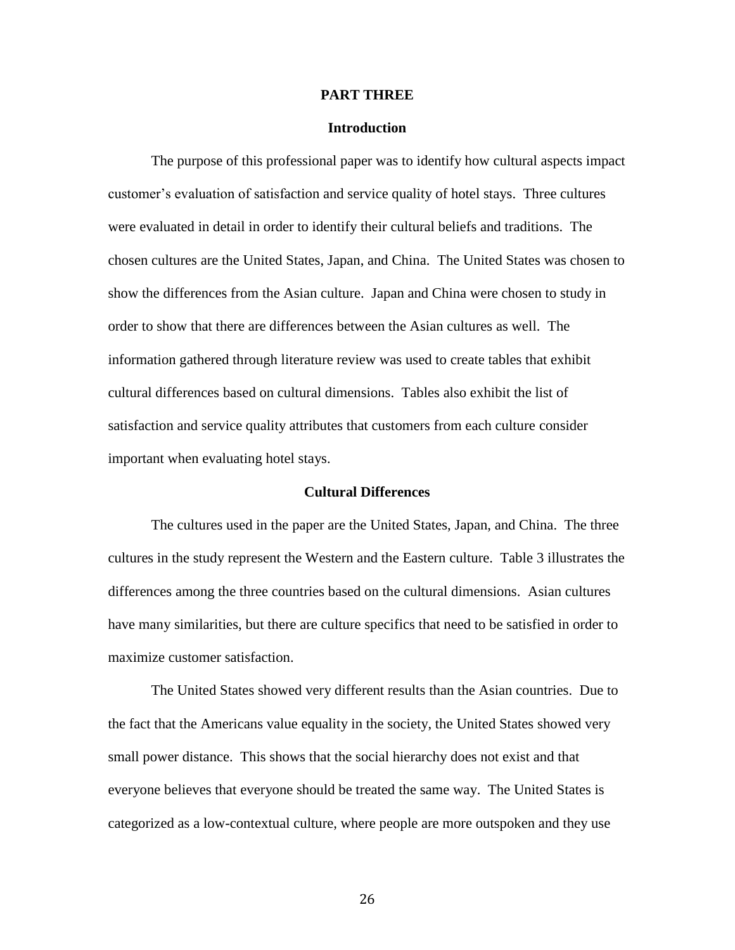### **PART THREE**

# **Introduction**

The purpose of this professional paper was to identify how cultural aspects impact customer's evaluation of satisfaction and service quality of hotel stays. Three cultures were evaluated in detail in order to identify their cultural beliefs and traditions. The chosen cultures are the United States, Japan, and China. The United States was chosen to show the differences from the Asian culture. Japan and China were chosen to study in order to show that there are differences between the Asian cultures as well. The information gathered through literature review was used to create tables that exhibit cultural differences based on cultural dimensions. Tables also exhibit the list of satisfaction and service quality attributes that customers from each culture consider important when evaluating hotel stays.

# **Cultural Differences**

The cultures used in the paper are the United States, Japan, and China. The three cultures in the study represent the Western and the Eastern culture. Table 3 illustrates the differences among the three countries based on the cultural dimensions. Asian cultures have many similarities, but there are culture specifics that need to be satisfied in order to maximize customer satisfaction.

The United States showed very different results than the Asian countries. Due to the fact that the Americans value equality in the society, the United States showed very small power distance. This shows that the social hierarchy does not exist and that everyone believes that everyone should be treated the same way. The United States is categorized as a low-contextual culture, where people are more outspoken and they use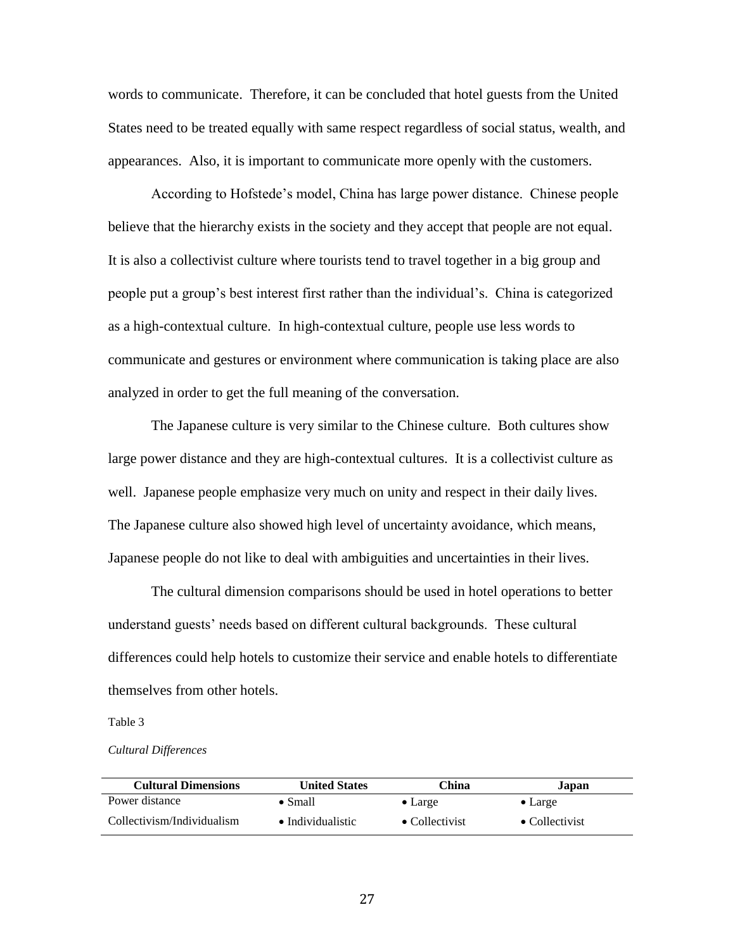words to communicate. Therefore, it can be concluded that hotel guests from the United States need to be treated equally with same respect regardless of social status, wealth, and appearances. Also, it is important to communicate more openly with the customers.

According to Hofstede's model, China has large power distance. Chinese people believe that the hierarchy exists in the society and they accept that people are not equal. It is also a collectivist culture where tourists tend to travel together in a big group and people put a group's best interest first rather than the individual's. China is categorized as a high-contextual culture. In high-contextual culture, people use less words to communicate and gestures or environment where communication is taking place are also analyzed in order to get the full meaning of the conversation.

The Japanese culture is very similar to the Chinese culture. Both cultures show large power distance and they are high-contextual cultures. It is a collectivist culture as well. Japanese people emphasize very much on unity and respect in their daily lives. The Japanese culture also showed high level of uncertainty avoidance, which means, Japanese people do not like to deal with ambiguities and uncertainties in their lives.

The cultural dimension comparisons should be used in hotel operations to better understand guests' needs based on different cultural backgrounds. These cultural differences could help hotels to customize their service and enable hotels to differentiate themselves from other hotels.

#### Table 3

*Cultural Differences*

| <b>Cultural Dimensions</b> | <b>United States</b>      | China                  | Japan                  |
|----------------------------|---------------------------|------------------------|------------------------|
| Power distance             | $\bullet$ Small           | $\bullet$ Large        | $\bullet$ Large        |
| Collectivism/Individualism | $\bullet$ Individualistic | $\bullet$ Collectivist | $\bullet$ Collectivist |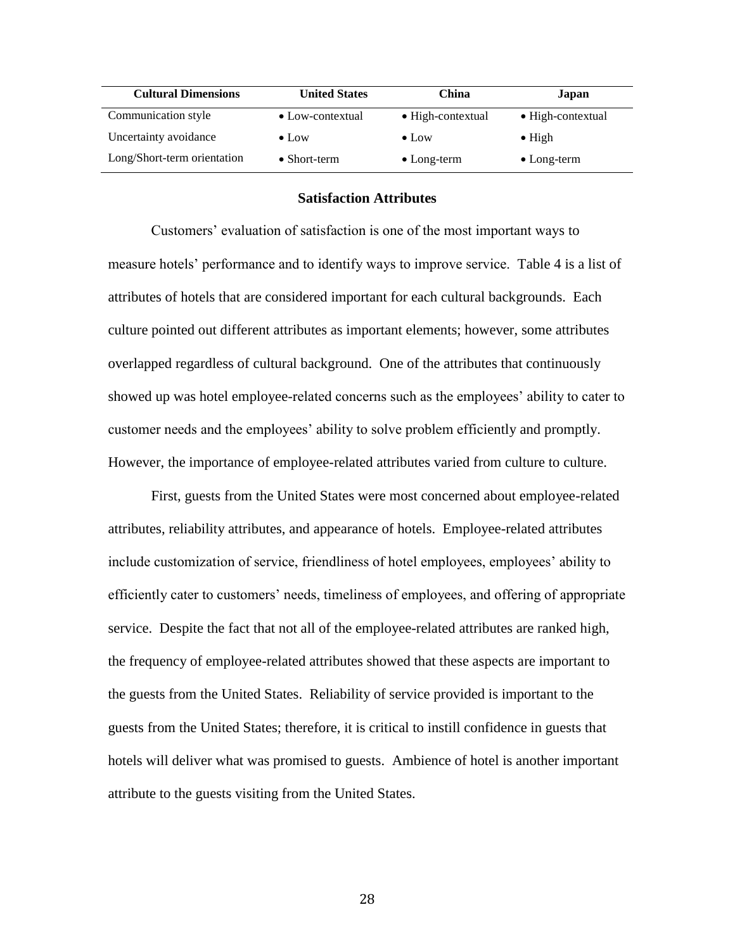| <b>Cultural Dimensions</b>  | <b>United States</b>     | China                     | Japan               |
|-----------------------------|--------------------------|---------------------------|---------------------|
| Communication style         | $\bullet$ Low-contextual | $\bullet$ High-contextual | • High-contextual   |
| Uncertainty avoidance       | $\bullet$ Low            | $\bullet$ Low             | $\bullet$ High      |
| Long/Short-term orientation | $\bullet$ Short-term     | $\bullet$ Long-term       | $\bullet$ Long-term |

# **Satisfaction Attributes**

Customers' evaluation of satisfaction is one of the most important ways to measure hotels' performance and to identify ways to improve service. Table 4 is a list of attributes of hotels that are considered important for each cultural backgrounds. Each culture pointed out different attributes as important elements; however, some attributes overlapped regardless of cultural background. One of the attributes that continuously showed up was hotel employee-related concerns such as the employees' ability to cater to customer needs and the employees' ability to solve problem efficiently and promptly. However, the importance of employee-related attributes varied from culture to culture.

First, guests from the United States were most concerned about employee-related attributes, reliability attributes, and appearance of hotels. Employee-related attributes include customization of service, friendliness of hotel employees, employees' ability to efficiently cater to customers' needs, timeliness of employees, and offering of appropriate service. Despite the fact that not all of the employee-related attributes are ranked high, the frequency of employee-related attributes showed that these aspects are important to the guests from the United States. Reliability of service provided is important to the guests from the United States; therefore, it is critical to instill confidence in guests that hotels will deliver what was promised to guests. Ambience of hotel is another important attribute to the guests visiting from the United States.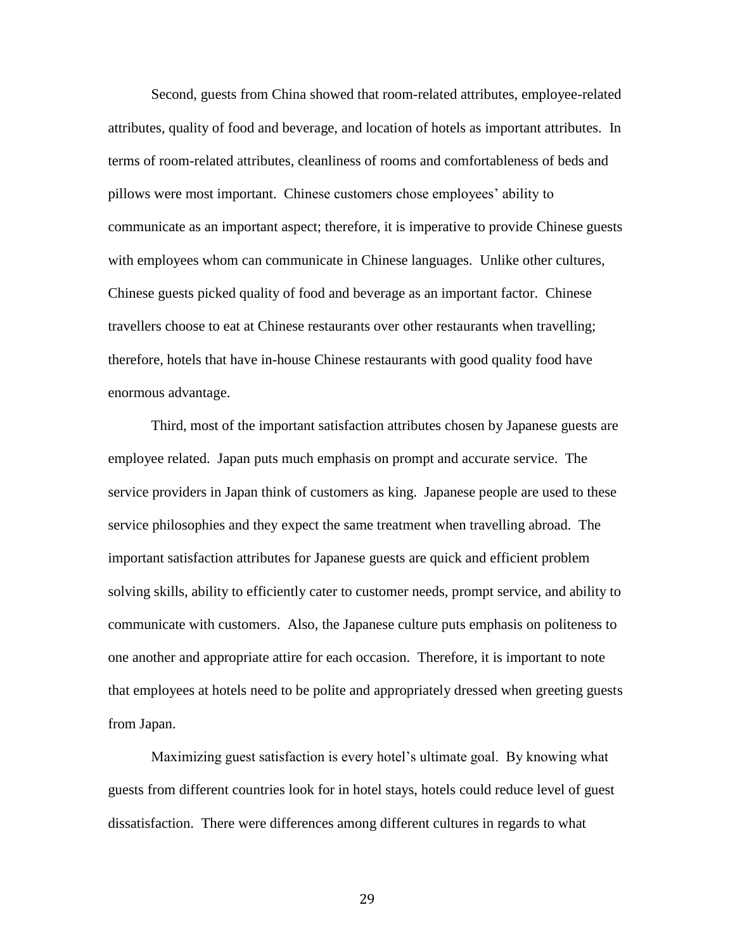Second, guests from China showed that room-related attributes, employee-related attributes, quality of food and beverage, and location of hotels as important attributes. In terms of room-related attributes, cleanliness of rooms and comfortableness of beds and pillows were most important. Chinese customers chose employees' ability to communicate as an important aspect; therefore, it is imperative to provide Chinese guests with employees whom can communicate in Chinese languages. Unlike other cultures, Chinese guests picked quality of food and beverage as an important factor. Chinese travellers choose to eat at Chinese restaurants over other restaurants when travelling; therefore, hotels that have in-house Chinese restaurants with good quality food have enormous advantage.

Third, most of the important satisfaction attributes chosen by Japanese guests are employee related. Japan puts much emphasis on prompt and accurate service. The service providers in Japan think of customers as king. Japanese people are used to these service philosophies and they expect the same treatment when travelling abroad. The important satisfaction attributes for Japanese guests are quick and efficient problem solving skills, ability to efficiently cater to customer needs, prompt service, and ability to communicate with customers. Also, the Japanese culture puts emphasis on politeness to one another and appropriate attire for each occasion. Therefore, it is important to note that employees at hotels need to be polite and appropriately dressed when greeting guests from Japan.

Maximizing guest satisfaction is every hotel's ultimate goal. By knowing what guests from different countries look for in hotel stays, hotels could reduce level of guest dissatisfaction. There were differences among different cultures in regards to what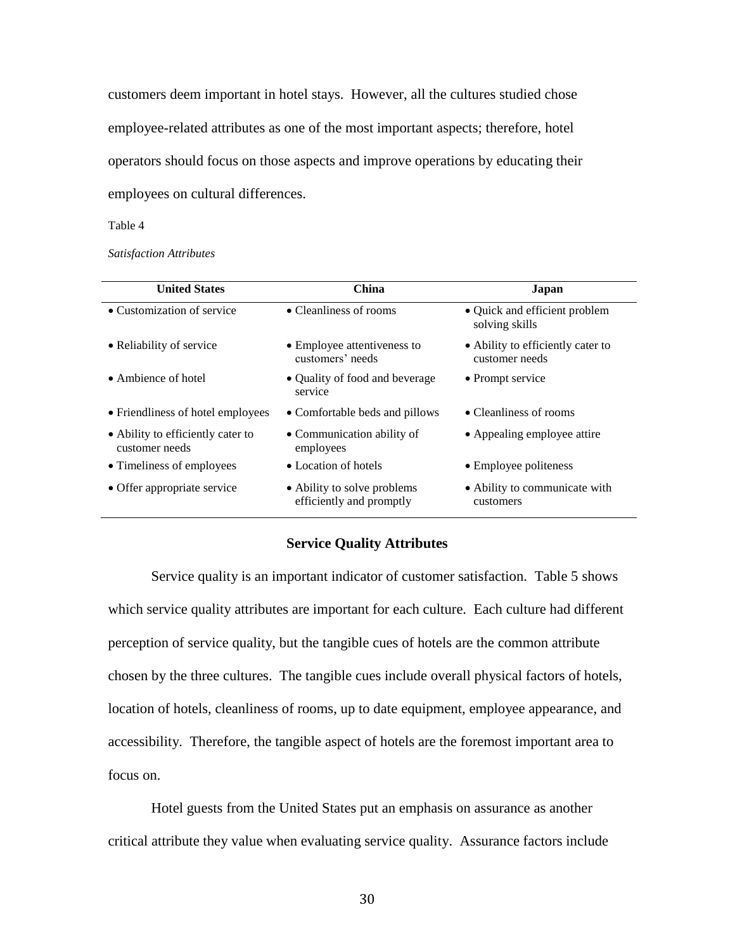customers deem important in hotel stays. However, all the cultures studied chose employee-related attributes as one of the most important aspects; therefore, hotel operators should focus on those aspects and improve operations by educating their employees on cultural differences.

#### Table 4

*Satisfaction Attributes*

| <b>United States</b>                                | China                                                   | Japan                                               |
|-----------------------------------------------------|---------------------------------------------------------|-----------------------------------------------------|
| • Customization of service                          | • Cleanliness of rooms                                  | • Quick and efficient problem<br>solving skills     |
| • Reliability of service                            | • Employee attentiveness to<br>customers' needs         | • Ability to efficiently cater to<br>customer needs |
| • Ambience of hotel                                 | • Quality of food and beverage<br>service               | • Prompt service                                    |
| • Friendliness of hotel employees                   | • Comfortable beds and pillows                          | • Cleanliness of rooms                              |
| • Ability to efficiently cater to<br>customer needs | • Communication ability of<br>employees                 | • Appealing employee attire                         |
| • Timeliness of employees                           | • Location of hotels                                    | • Employee politeness                               |
| • Offer appropriate service                         | • Ability to solve problems<br>efficiently and promptly | • Ability to communicate with<br>customers          |

# **Service Quality Attributes**

Service quality is an important indicator of customer satisfaction. Table 5 shows which service quality attributes are important for each culture. Each culture had different perception of service quality, but the tangible cues of hotels are the common attribute chosen by the three cultures. The tangible cues include overall physical factors of hotels, location of hotels, cleanliness of rooms, up to date equipment, employee appearance, and accessibility. Therefore, the tangible aspect of hotels are the foremost important area to focus on.

Hotel guests from the United States put an emphasis on assurance as another critical attribute they value when evaluating service quality. Assurance factors include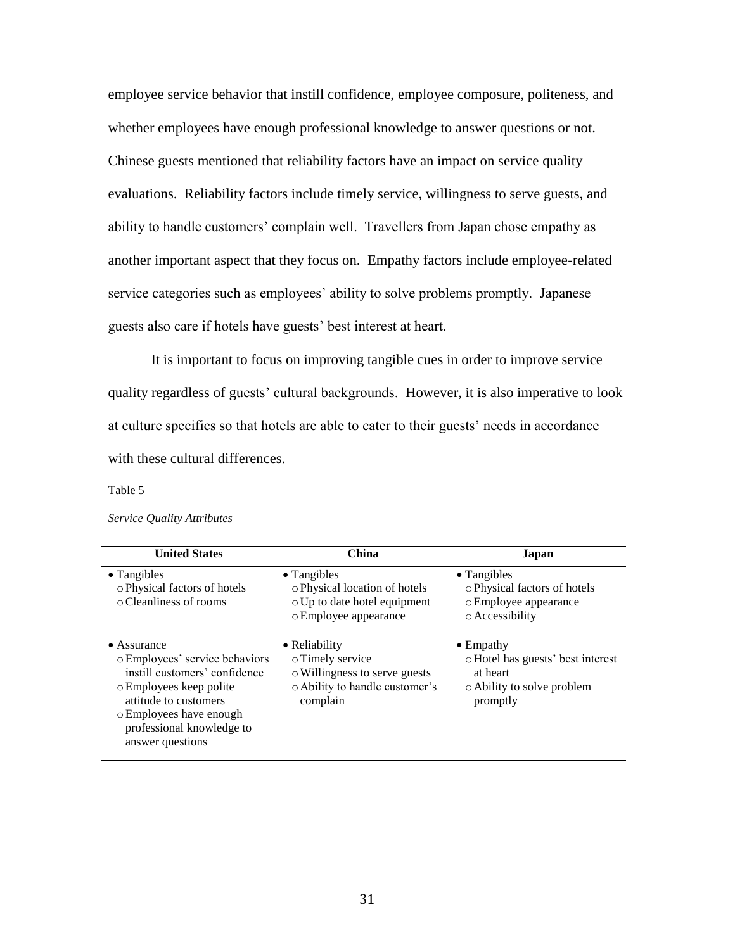employee service behavior that instill confidence, employee composure, politeness, and whether employees have enough professional knowledge to answer questions or not. Chinese guests mentioned that reliability factors have an impact on service quality evaluations. Reliability factors include timely service, willingness to serve guests, and ability to handle customers' complain well. Travellers from Japan chose empathy as another important aspect that they focus on. Empathy factors include employee-related service categories such as employees' ability to solve problems promptly. Japanese guests also care if hotels have guests' best interest at heart.

It is important to focus on improving tangible cues in order to improve service quality regardless of guests' cultural backgrounds. However, it is also imperative to look at culture specifics so that hotels are able to cater to their guests' needs in accordance with these cultural differences.

#### Table 5

#### *Service Quality Attributes*

| <b>United States</b>                                                                                                                                                                                                   | <b>China</b>                                                                                                     | Japan                                                                                                        |
|------------------------------------------------------------------------------------------------------------------------------------------------------------------------------------------------------------------------|------------------------------------------------------------------------------------------------------------------|--------------------------------------------------------------------------------------------------------------|
| $\bullet$ Tangibles<br>o Physical factors of hotels<br>$\circ$ Cleanliness of rooms                                                                                                                                    | $\bullet$ Tangibles<br>o Physical location of hotels<br>o Up to date hotel equipment<br>o Employee appearance    | $\bullet$ Tangibles<br>o Physical factors of hotels<br>o Employee appearance<br>o Accessibility              |
| $\bullet$ Assurance<br>o Employees' service behaviors<br>instill customers' confidence<br>o Employees keep polite<br>attitude to customers<br>o Employees have enough<br>professional knowledge to<br>answer questions | • Reliability<br>o Timely service<br>o Willingness to serve guests<br>• Ability to handle customer's<br>complain | $\bullet$ Empathy<br>o Hotel has guests' best interest<br>at heart<br>o Ability to solve problem<br>promptly |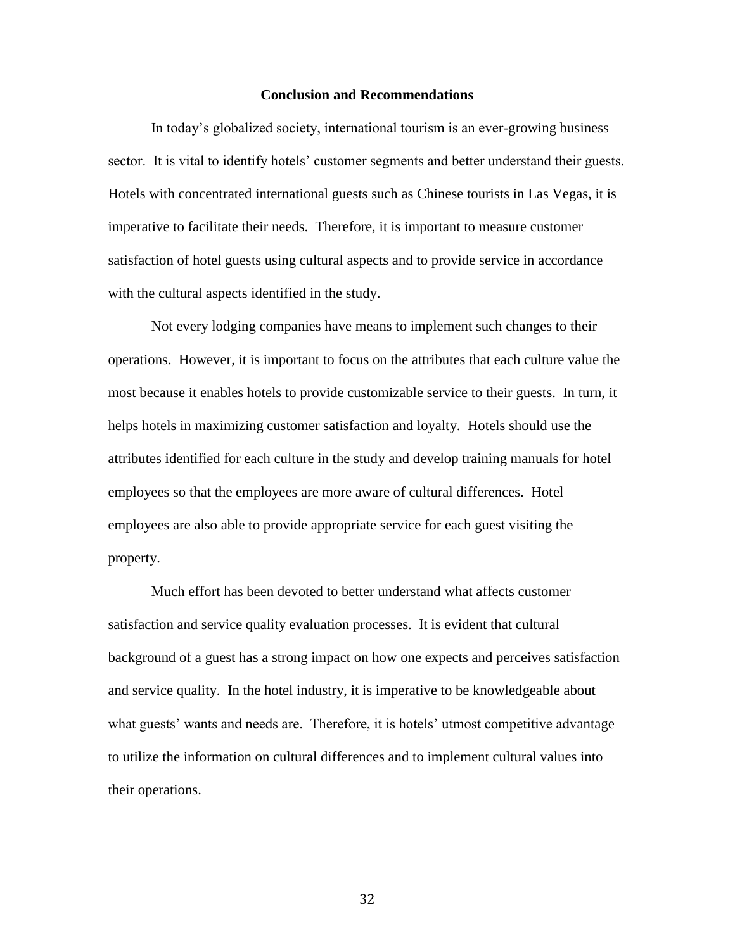# **Conclusion and Recommendations**

In today's globalized society, international tourism is an ever-growing business sector. It is vital to identify hotels' customer segments and better understand their guests. Hotels with concentrated international guests such as Chinese tourists in Las Vegas, it is imperative to facilitate their needs. Therefore, it is important to measure customer satisfaction of hotel guests using cultural aspects and to provide service in accordance with the cultural aspects identified in the study.

Not every lodging companies have means to implement such changes to their operations. However, it is important to focus on the attributes that each culture value the most because it enables hotels to provide customizable service to their guests. In turn, it helps hotels in maximizing customer satisfaction and loyalty. Hotels should use the attributes identified for each culture in the study and develop training manuals for hotel employees so that the employees are more aware of cultural differences. Hotel employees are also able to provide appropriate service for each guest visiting the property.

Much effort has been devoted to better understand what affects customer satisfaction and service quality evaluation processes. It is evident that cultural background of a guest has a strong impact on how one expects and perceives satisfaction and service quality. In the hotel industry, it is imperative to be knowledgeable about what guests' wants and needs are. Therefore, it is hotels' utmost competitive advantage to utilize the information on cultural differences and to implement cultural values into their operations.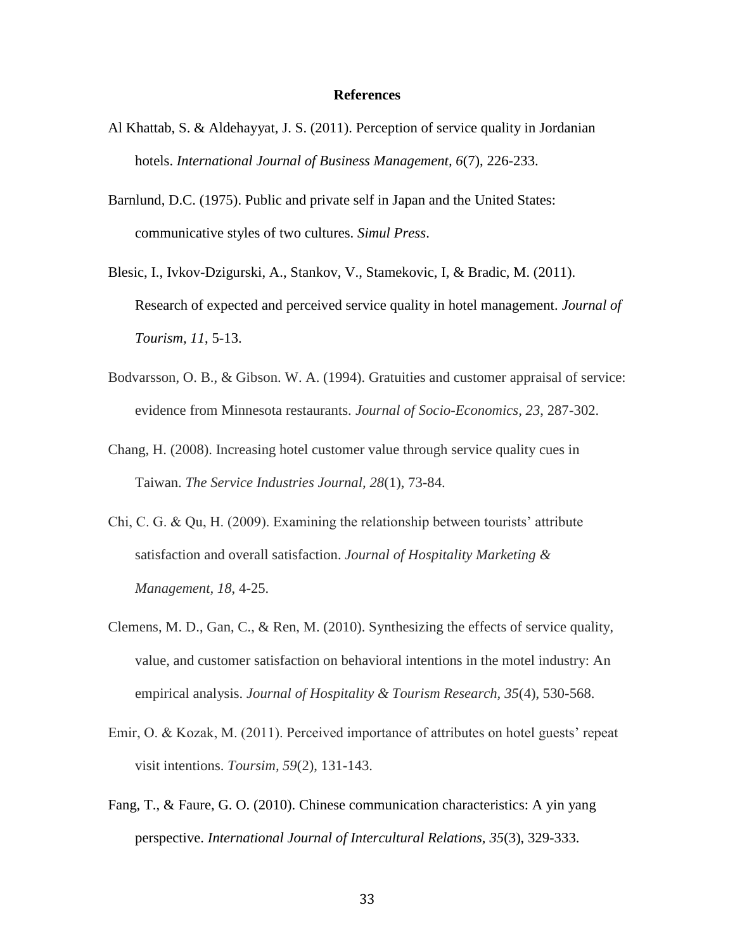# **References**

- Al Khattab, S. & Aldehayyat, J. S. (2011). Perception of service quality in Jordanian hotels. *International Journal of Business Management, 6*(7), 226-233.
- Barnlund, D.C. (1975). Public and private self in Japan and the United States: communicative styles of two cultures. *Simul Press*.
- Blesic, I., Ivkov-Dzigurski, A., Stankov, V., Stamekovic, I, & Bradic, M. (2011). Research of expected and perceived service quality in hotel management. *Journal of Tourism, 11*, 5-13.
- Bodvarsson, O. B., & Gibson. W. A. (1994). Gratuities and customer appraisal of service: evidence from Minnesota restaurants. *Journal of Socio-Economics, 23*, 287-302.
- Chang, H. (2008). Increasing hotel customer value through service quality cues in Taiwan. *The Service Industries Journal, 28*(1), 73-84.
- Chi, C. G. & Qu, H. (2009). Examining the relationship between tourists' attribute satisfaction and overall satisfaction. *Journal of Hospitality Marketing & Management, 18*, 4-25.
- Clemens, M. D., Gan, C., & Ren, M. (2010). Synthesizing the effects of service quality, value, and customer satisfaction on behavioral intentions in the motel industry: An empirical analysis. *Journal of Hospitality & Tourism Research, 35*(4), 530-568.
- Emir, O. & Kozak, M. (2011). Perceived importance of attributes on hotel guests' repeat visit intentions. *Toursim, 59*(2), 131-143.
- Fang, T., & Faure, G. O. (2010). Chinese communication characteristics: A yin yang perspective. *International Journal of Intercultural Relations, 35*(3), 329-333.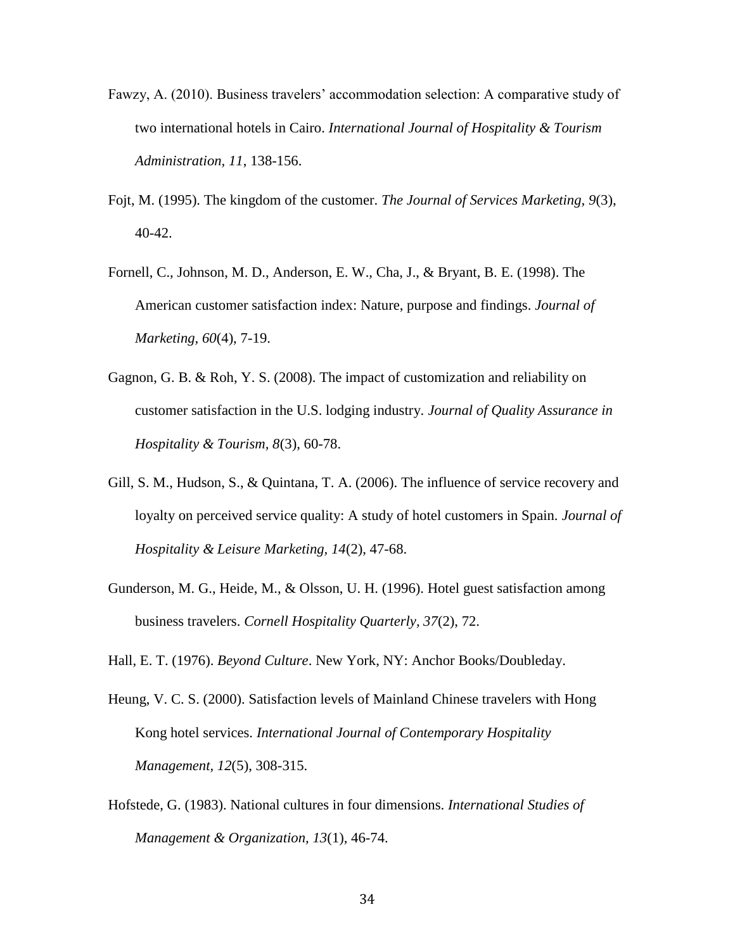- Fawzy, A. (2010). Business travelers' accommodation selection: A comparative study of two international hotels in Cairo. *International Journal of Hospitality & Tourism Administration, 11*, 138-156.
- Fojt, M. (1995). The kingdom of the customer. *The Journal of Services Marketing, 9*(3), 40-42.
- Fornell, C., Johnson, M. D., Anderson, E. W., Cha, J., & Bryant, B. E. (1998). The American customer satisfaction index: Nature, purpose and findings. *Journal of Marketing, 60*(4), 7-19.
- Gagnon, G. B. & Roh, Y. S. (2008). The impact of customization and reliability on customer satisfaction in the U.S. lodging industry. *Journal of Quality Assurance in Hospitality & Tourism, 8*(3), 60-78.
- Gill, S. M., Hudson, S., & Quintana, T. A. (2006). The influence of service recovery and loyalty on perceived service quality: A study of hotel customers in Spain. *Journal of Hospitality & Leisure Marketing, 14*(2), 47-68.
- Gunderson, M. G., Heide, M., & Olsson, U. H. (1996). Hotel guest satisfaction among business travelers. *Cornell Hospitality Quarterly, 37*(2), 72.

Hall, E. T. (1976). *Beyond Culture*. New York, NY: Anchor Books/Doubleday.

- Heung, V. C. S. (2000). Satisfaction levels of Mainland Chinese travelers with Hong Kong hotel services. *International Journal of Contemporary Hospitality Management, 12*(5), 308-315.
- Hofstede, G. (1983). National cultures in four dimensions. *International Studies of Management & Organization, 13*(1), 46-74.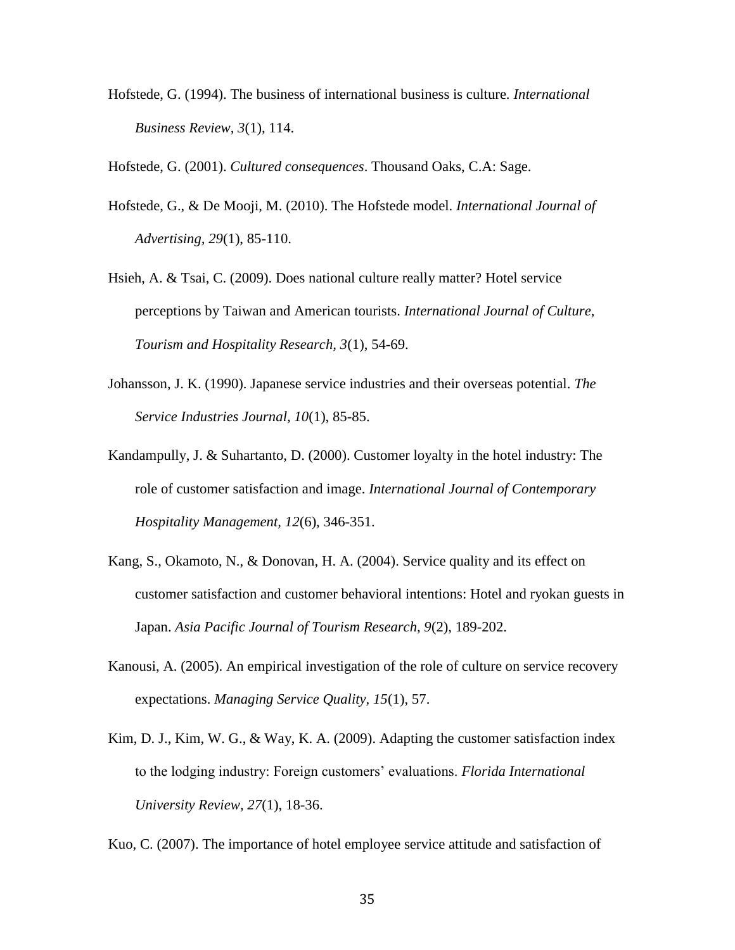Hofstede, G. (1994). The business of international business is culture. *International Business Review, 3*(1), 114.

Hofstede, G. (2001). *Cultured consequences*. Thousand Oaks, C.A: Sage.

- Hofstede, G., & De Mooji, M. (2010). The Hofstede model. *International Journal of Advertising, 29*(1), 85-110.
- Hsieh, A. & Tsai, C. (2009). Does national culture really matter? Hotel service perceptions by Taiwan and American tourists. *International Journal of Culture, Tourism and Hospitality Research, 3*(1), 54-69.
- Johansson, J. K. (1990). Japanese service industries and their overseas potential. *The Service Industries Journal, 10*(1), 85-85.
- Kandampully, J. & Suhartanto, D. (2000). Customer loyalty in the hotel industry: The role of customer satisfaction and image. *International Journal of Contemporary Hospitality Management, 12*(6), 346-351.
- Kang, S., Okamoto, N., & Donovan, H. A. (2004). Service quality and its effect on customer satisfaction and customer behavioral intentions: Hotel and ryokan guests in Japan. *Asia Pacific Journal of Tourism Research, 9*(2), 189-202.
- Kanousi, A. (2005). An empirical investigation of the role of culture on service recovery expectations. *Managing Service Quality, 15*(1), 57.
- Kim, D. J., Kim, W. G., & Way, K. A. (2009). Adapting the customer satisfaction index to the lodging industry: Foreign customers' evaluations. *Florida International University Review, 27*(1), 18-36.

Kuo, C. (2007). The importance of hotel employee service attitude and satisfaction of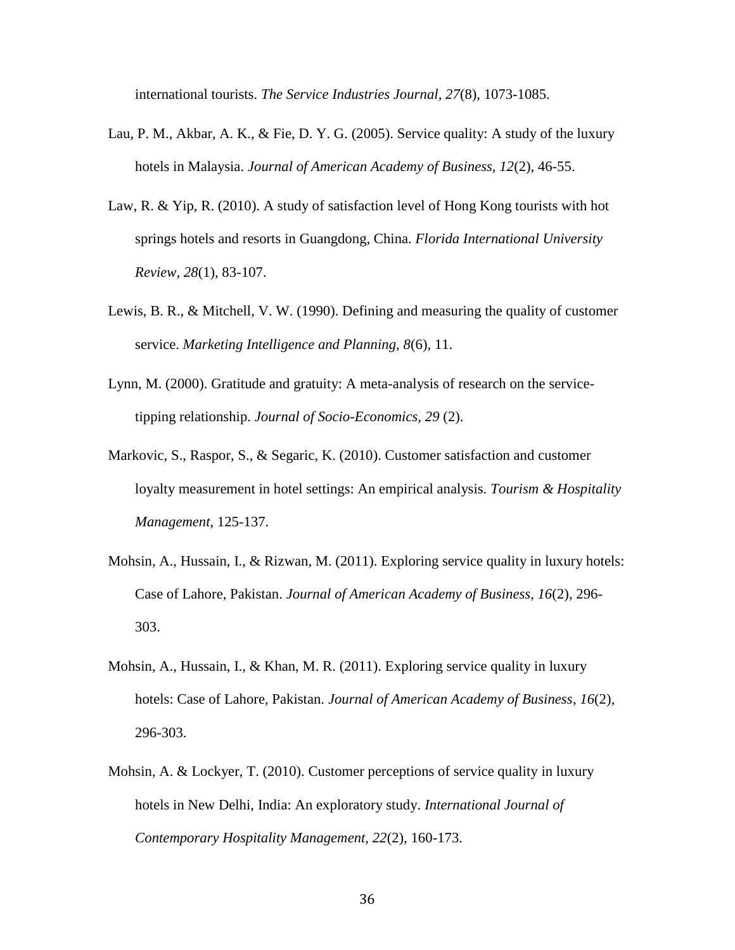international tourists. *The Service Industries Journal, 27*(8), 1073-1085.

- Lau, P. M., Akbar, A. K., & Fie, D. Y. G. (2005). Service quality: A study of the luxury hotels in Malaysia. *Journal of American Academy of Business, 12*(2), 46-55.
- Law, R. & Yip, R. (2010). A study of satisfaction level of Hong Kong tourists with hot springs hotels and resorts in Guangdong, China. *Florida International University Review, 28*(1), 83-107.
- Lewis, B. R., & Mitchell, V. W. (1990). Defining and measuring the quality of customer service. *Marketing Intelligence and Planning, 8*(6), 11.
- Lynn, M. (2000). Gratitude and gratuity: A meta-analysis of research on the servicetipping relationship. *Journal of Socio-Economics, 29* (2).
- Markovic, S., Raspor, S., & Segaric, K. (2010). Customer satisfaction and customer loyalty measurement in hotel settings: An empirical analysis*. Tourism & Hospitality Management*, 125-137.
- Mohsin, A., Hussain, I., & Rizwan, M. (2011). Exploring service quality in luxury hotels: Case of Lahore, Pakistan. *Journal of American Academy of Business, 16*(2), 296- 303.
- Mohsin, A., Hussain, I., & Khan, M. R. (2011). Exploring service quality in luxury hotels: Case of Lahore, Pakistan. *Journal of American Academy of Business, 16*(2), 296-303.
- Mohsin, A. & Lockyer, T. (2010). Customer perceptions of service quality in luxury hotels in New Delhi, India: An exploratory study. *International Journal of Contemporary Hospitality Management, 22*(2), 160-173.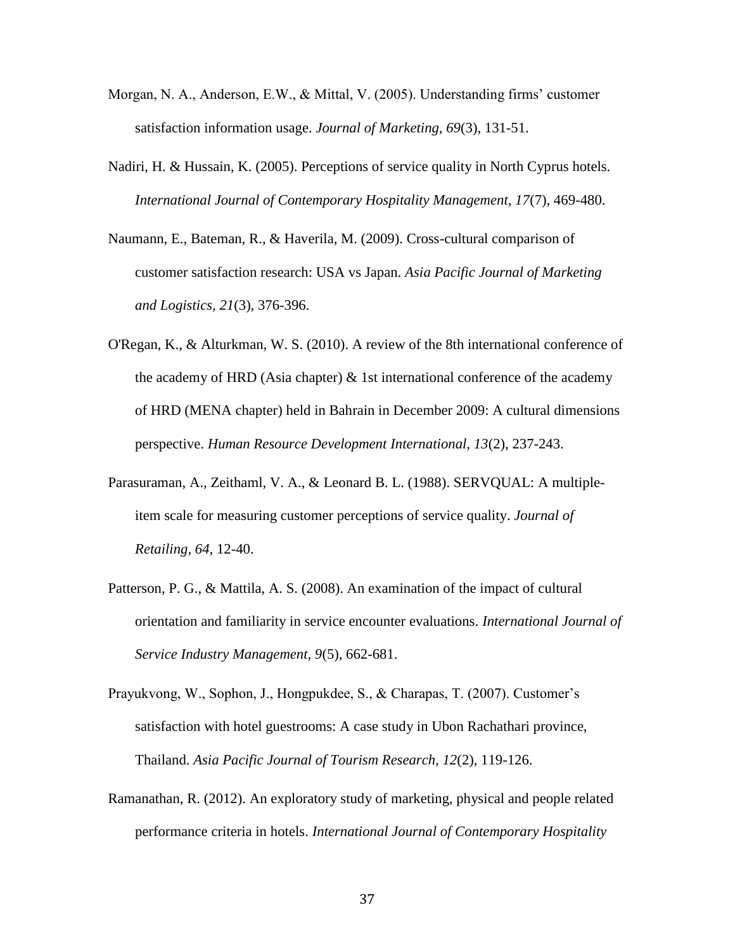- Morgan, N. A., Anderson, E.W., & Mittal, V. (2005). Understanding firms' customer satisfaction information usage. *Journal of Marketing, 69*(3), 131-51.
- Nadiri, H. & Hussain, K. (2005). Perceptions of service quality in North Cyprus hotels. *International Journal of Contemporary Hospitality Management, 17*(7), 469-480.
- Naumann, E., Bateman, R., & Haverila, M. (2009). Cross-cultural comparison of customer satisfaction research: USA vs Japan. *Asia Pacific Journal of Marketing and Logistics, 21*(3), 376-396.
- O'Regan, K., & Alturkman, W. S. (2010). A review of the 8th international conference of the academy of HRD (Asia chapter)  $\&$  1st international conference of the academy of HRD (MENA chapter) held in Bahrain in December 2009: A cultural dimensions perspective. *Human Resource Development International, 13*(2), 237-243.
- Parasuraman, A., Zeithaml, V. A., & Leonard B. L. (1988). SERVQUAL: A multipleitem scale for measuring customer perceptions of service quality. *Journal of Retailing, 64*, 12-40.
- Patterson, P. G., & Mattila, A. S. (2008). An examination of the impact of cultural orientation and familiarity in service encounter evaluations. *International Journal of Service Industry Management, 9*(5), 662-681.
- Prayukvong, W., Sophon, J., Hongpukdee, S., & Charapas, T. (2007). Customer's satisfaction with hotel guestrooms: A case study in Ubon Rachathari province, Thailand. *Asia Pacific Journal of Tourism Research, 12*(2), 119-126.
- Ramanathan, R. (2012). An exploratory study of marketing, physical and people related performance criteria in hotels. *International Journal of Contemporary Hospitality*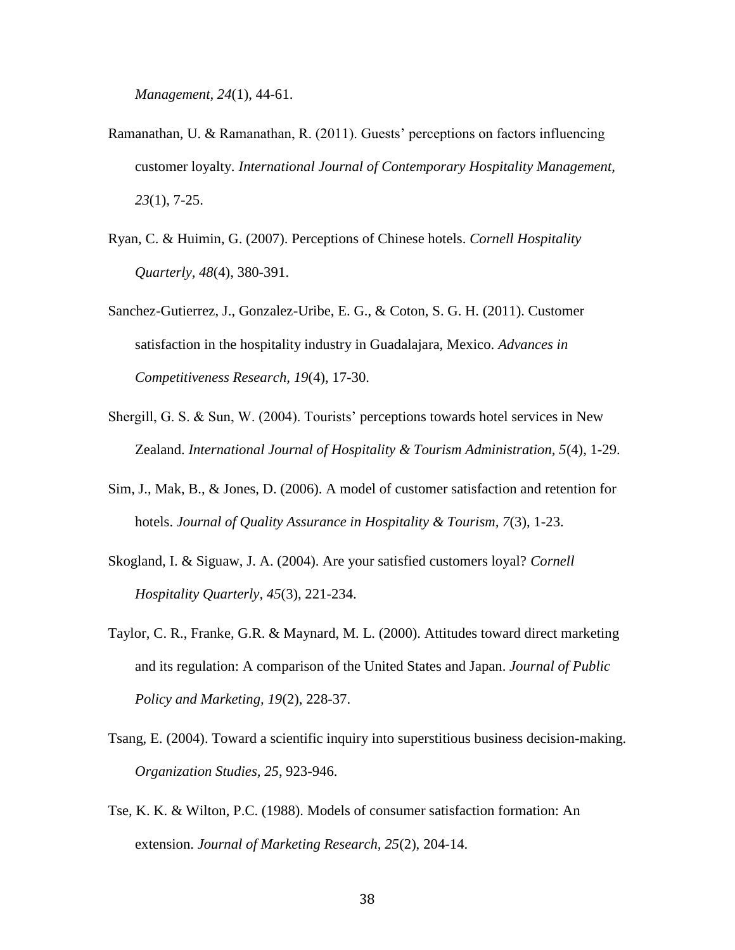*Management, 24*(1), 44-61.

- Ramanathan, U. & Ramanathan, R. (2011). Guests' perceptions on factors influencing customer loyalty. *International Journal of Contemporary Hospitality Management, 23*(1), 7-25.
- Ryan, C. & Huimin, G. (2007). Perceptions of Chinese hotels. *Cornell Hospitality Quarterly, 48*(4), 380-391.
- Sanchez-Gutierrez, J., Gonzalez-Uribe, E. G., & Coton, S. G. H. (2011). Customer satisfaction in the hospitality industry in Guadalajara, Mexico. *Advances in Competitiveness Research, 19*(4), 17-30.
- Shergill, G. S. & Sun, W. (2004). Tourists' perceptions towards hotel services in New Zealand. *International Journal of Hospitality & Tourism Administration, 5*(4), 1-29.
- Sim, J., Mak, B., & Jones, D. (2006). A model of customer satisfaction and retention for hotels. *Journal of Quality Assurance in Hospitality & Tourism, 7*(3), 1-23.
- Skogland, I. & Siguaw, J. A. (2004). Are your satisfied customers loyal? *Cornell Hospitality Quarterly, 45*(3), 221-234.
- Taylor, C. R., Franke, G.R. & Maynard, M. L. (2000). Attitudes toward direct marketing and its regulation: A comparison of the United States and Japan. *Journal of Public Policy and Marketing, 19*(2), 228-37.
- Tsang, E. (2004). Toward a scientific inquiry into superstitious business decision-making. *Organization Studies, 25*, 923-946.
- Tse, K. K. & Wilton, P.C. (1988). Models of consumer satisfaction formation: An extension. *Journal of Marketing Research, 25*(2), 204-14.